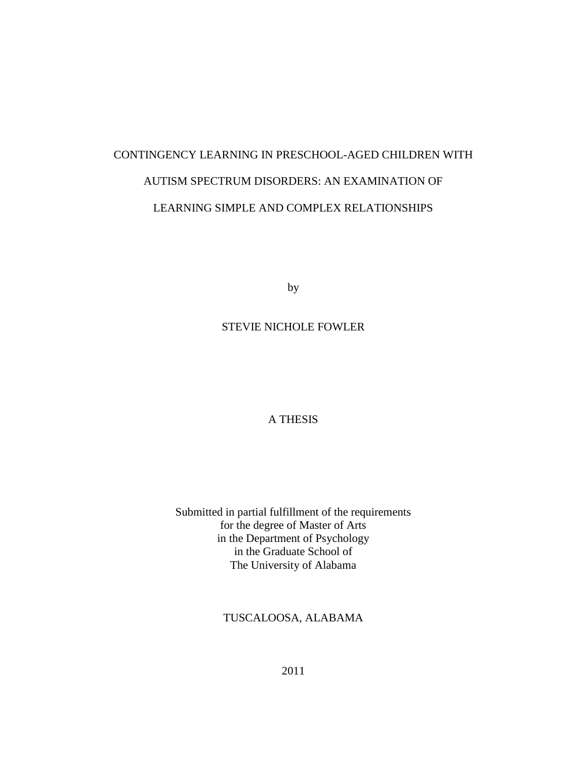# CONTINGENCY LEARNING IN PRESCHOOL-AGED CHILDREN WITH AUTISM SPECTRUM DISORDERS: AN EXAMINATION OF LEARNING SIMPLE AND COMPLEX RELATIONSHIPS

by

# STEVIE NICHOLE FOWLER

# A THESIS

Submitted in partial fulfillment of the requirements for the degree of Master of Arts in the Department of Psychology in the Graduate School of The University of Alabama

TUSCALOOSA, ALABAMA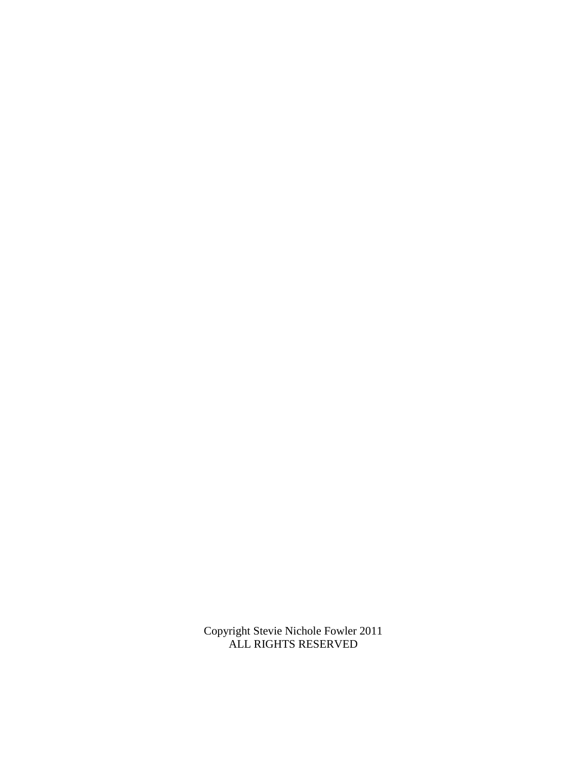Copyright Stevie Nichole Fowler 2011 ALL RIGHTS RESERVED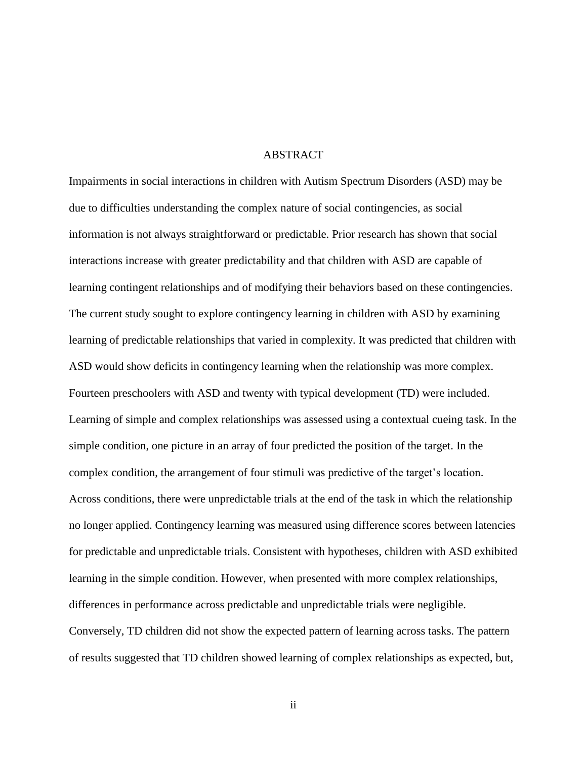## ABSTRACT

Impairments in social interactions in children with Autism Spectrum Disorders (ASD) may be due to difficulties understanding the complex nature of social contingencies, as social information is not always straightforward or predictable. Prior research has shown that social interactions increase with greater predictability and that children with ASD are capable of learning contingent relationships and of modifying their behaviors based on these contingencies. The current study sought to explore contingency learning in children with ASD by examining learning of predictable relationships that varied in complexity. It was predicted that children with ASD would show deficits in contingency learning when the relationship was more complex. Fourteen preschoolers with ASD and twenty with typical development (TD) were included. Learning of simple and complex relationships was assessed using a contextual cueing task. In the simple condition, one picture in an array of four predicted the position of the target. In the complex condition, the arrangement of four stimuli was predictive of the target's location. Across conditions, there were unpredictable trials at the end of the task in which the relationship no longer applied. Contingency learning was measured using difference scores between latencies for predictable and unpredictable trials. Consistent with hypotheses, children with ASD exhibited learning in the simple condition. However, when presented with more complex relationships, differences in performance across predictable and unpredictable trials were negligible. Conversely, TD children did not show the expected pattern of learning across tasks. The pattern of results suggested that TD children showed learning of complex relationships as expected, but,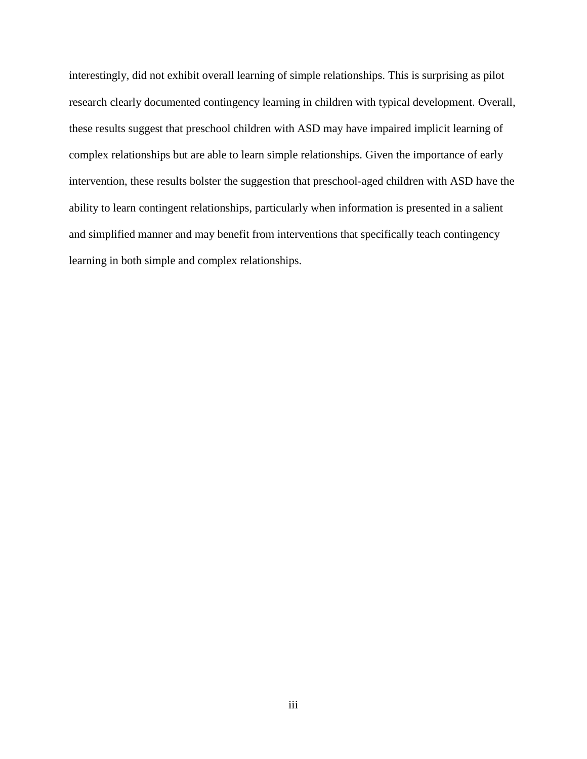interestingly, did not exhibit overall learning of simple relationships. This is surprising as pilot research clearly documented contingency learning in children with typical development. Overall, these results suggest that preschool children with ASD may have impaired implicit learning of complex relationships but are able to learn simple relationships. Given the importance of early intervention, these results bolster the suggestion that preschool-aged children with ASD have the ability to learn contingent relationships, particularly when information is presented in a salient and simplified manner and may benefit from interventions that specifically teach contingency learning in both simple and complex relationships.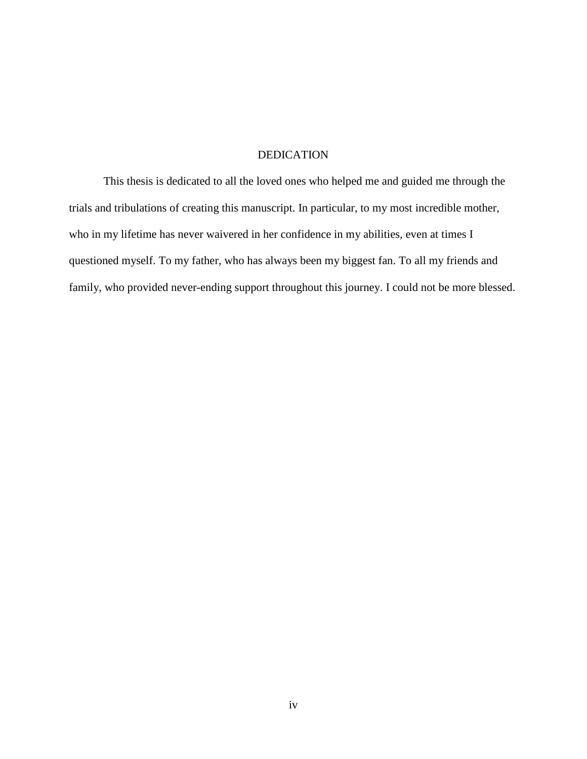# DEDICATION

This thesis is dedicated to all the loved ones who helped me and guided me through the trials and tribulations of creating this manuscript. In particular, to my most incredible mother, who in my lifetime has never waivered in her confidence in my abilities, even at times I questioned myself. To my father, who has always been my biggest fan. To all my friends and family, who provided never-ending support throughout this journey. I could not be more blessed.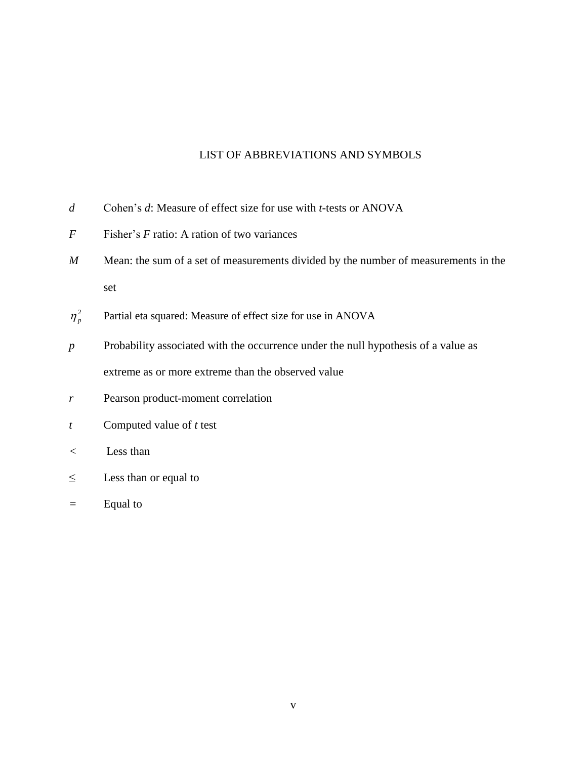# LIST OF ABBREVIATIONS AND SYMBOLS

- *d* Cohen's *d*: Measure of effect size for use with *t-*tests or ANOVA
- *F* Fisher's *F* ratio: A ration of two variances
- *M* Mean: the sum of a set of measurements divided by the number of measurements in the set
- $\eta_p^2$ Partial eta squared: Measure of effect size for use in ANOVA
- *p* Probability associated with the occurrence under the null hypothesis of a value as extreme as or more extreme than the observed value
- *r* Pearson product-moment correlation
- *t* Computed value of *t* test
- *<* Less than
- $\leq$  Less than or equal to
- *=* Equal to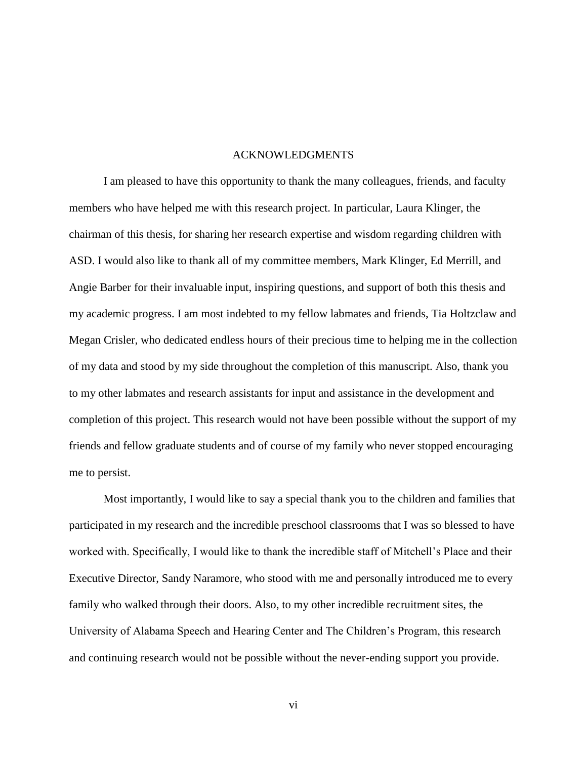# ACKNOWLEDGMENTS

I am pleased to have this opportunity to thank the many colleagues, friends, and faculty members who have helped me with this research project. In particular, Laura Klinger, the chairman of this thesis, for sharing her research expertise and wisdom regarding children with ASD. I would also like to thank all of my committee members, Mark Klinger, Ed Merrill, and Angie Barber for their invaluable input, inspiring questions, and support of both this thesis and my academic progress. I am most indebted to my fellow labmates and friends, Tia Holtzclaw and Megan Crisler, who dedicated endless hours of their precious time to helping me in the collection of my data and stood by my side throughout the completion of this manuscript. Also, thank you to my other labmates and research assistants for input and assistance in the development and completion of this project. This research would not have been possible without the support of my friends and fellow graduate students and of course of my family who never stopped encouraging me to persist.

Most importantly, I would like to say a special thank you to the children and families that participated in my research and the incredible preschool classrooms that I was so blessed to have worked with. Specifically, I would like to thank the incredible staff of Mitchell's Place and their Executive Director, Sandy Naramore, who stood with me and personally introduced me to every family who walked through their doors. Also, to my other incredible recruitment sites, the University of Alabama Speech and Hearing Center and The Children's Program, this research and continuing research would not be possible without the never-ending support you provide.

vi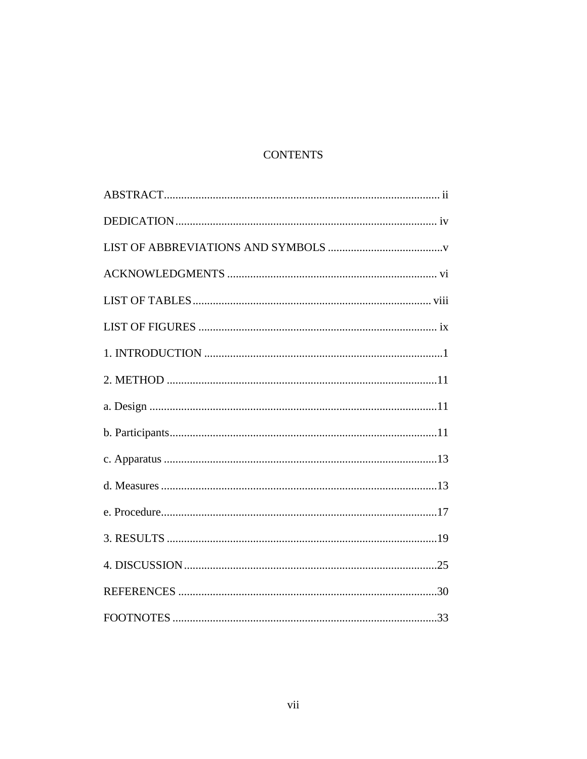# **CONTENTS**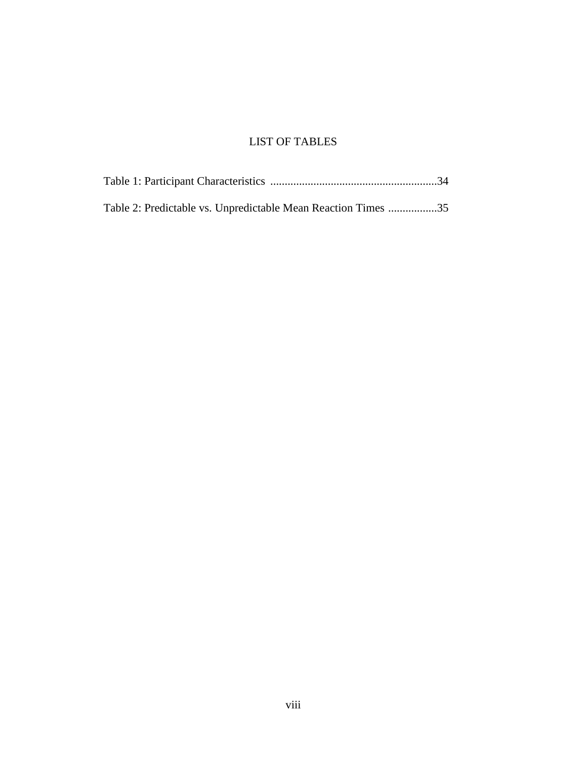# LIST OF TABLES

| Table 2: Predictable vs. Unpredictable Mean Reaction Times 35 |  |
|---------------------------------------------------------------|--|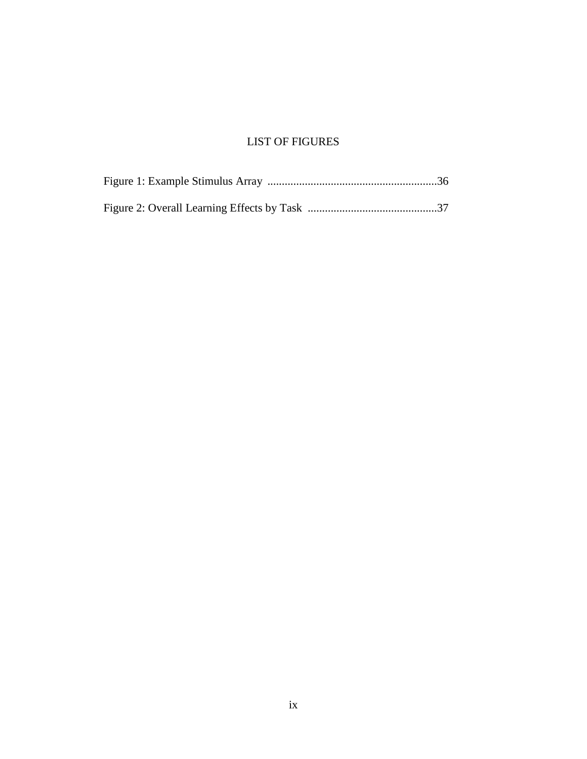# LIST OF FIGURES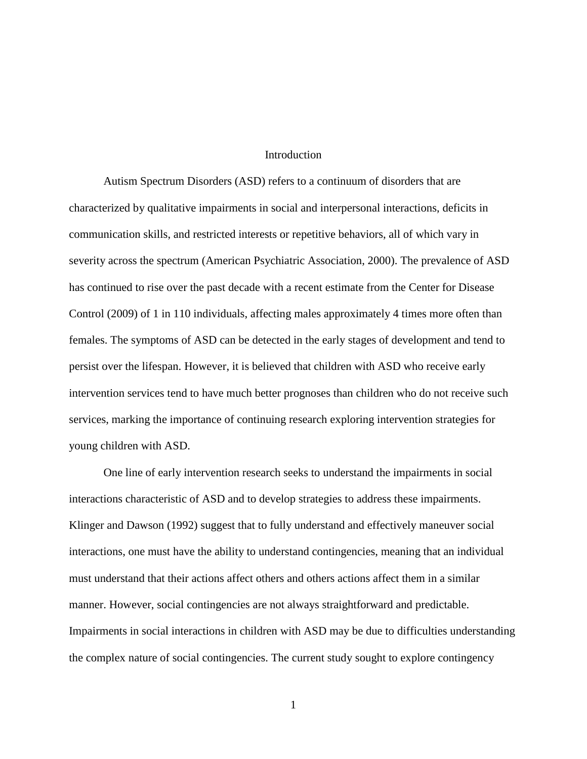# **Introduction**

Autism Spectrum Disorders (ASD) refers to a continuum of disorders that are characterized by qualitative impairments in social and interpersonal interactions, deficits in communication skills, and restricted interests or repetitive behaviors, all of which vary in severity across the spectrum (American Psychiatric Association, 2000). The prevalence of ASD has continued to rise over the past decade with a recent estimate from the Center for Disease Control (2009) of 1 in 110 individuals, affecting males approximately 4 times more often than females. The symptoms of ASD can be detected in the early stages of development and tend to persist over the lifespan. However, it is believed that children with ASD who receive early intervention services tend to have much better prognoses than children who do not receive such services, marking the importance of continuing research exploring intervention strategies for young children with ASD.

One line of early intervention research seeks to understand the impairments in social interactions characteristic of ASD and to develop strategies to address these impairments. Klinger and Dawson (1992) suggest that to fully understand and effectively maneuver social interactions, one must have the ability to understand contingencies, meaning that an individual must understand that their actions affect others and others actions affect them in a similar manner. However, social contingencies are not always straightforward and predictable. Impairments in social interactions in children with ASD may be due to difficulties understanding the complex nature of social contingencies. The current study sought to explore contingency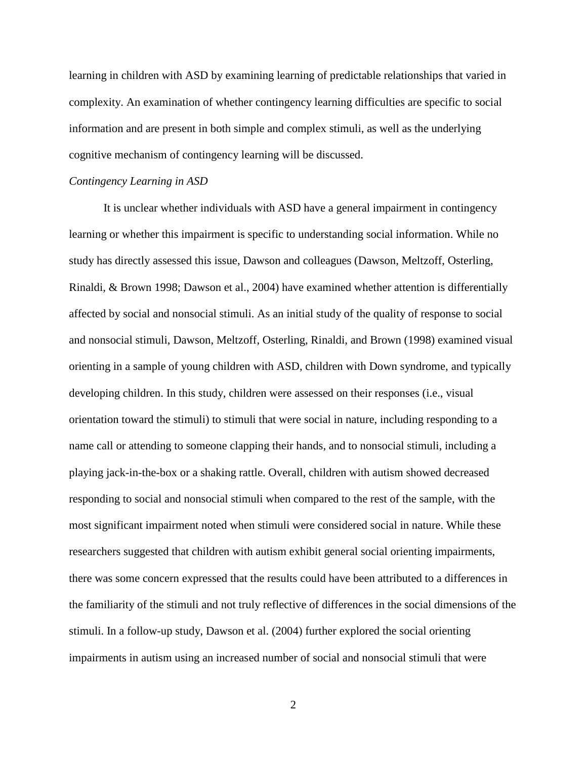learning in children with ASD by examining learning of predictable relationships that varied in complexity. An examination of whether contingency learning difficulties are specific to social information and are present in both simple and complex stimuli, as well as the underlying cognitive mechanism of contingency learning will be discussed.

# *Contingency Learning in ASD*

It is unclear whether individuals with ASD have a general impairment in contingency learning or whether this impairment is specific to understanding social information. While no study has directly assessed this issue, Dawson and colleagues (Dawson, Meltzoff, Osterling, Rinaldi, & Brown 1998; Dawson et al., 2004) have examined whether attention is differentially affected by social and nonsocial stimuli. As an initial study of the quality of response to social and nonsocial stimuli, Dawson, Meltzoff, Osterling, Rinaldi, and Brown (1998) examined visual orienting in a sample of young children with ASD, children with Down syndrome, and typically developing children. In this study, children were assessed on their responses (i.e., visual orientation toward the stimuli) to stimuli that were social in nature, including responding to a name call or attending to someone clapping their hands, and to nonsocial stimuli, including a playing jack-in-the-box or a shaking rattle. Overall, children with autism showed decreased responding to social and nonsocial stimuli when compared to the rest of the sample, with the most significant impairment noted when stimuli were considered social in nature. While these researchers suggested that children with autism exhibit general social orienting impairments, there was some concern expressed that the results could have been attributed to a differences in the familiarity of the stimuli and not truly reflective of differences in the social dimensions of the stimuli. In a follow-up study, Dawson et al. (2004) further explored the social orienting impairments in autism using an increased number of social and nonsocial stimuli that were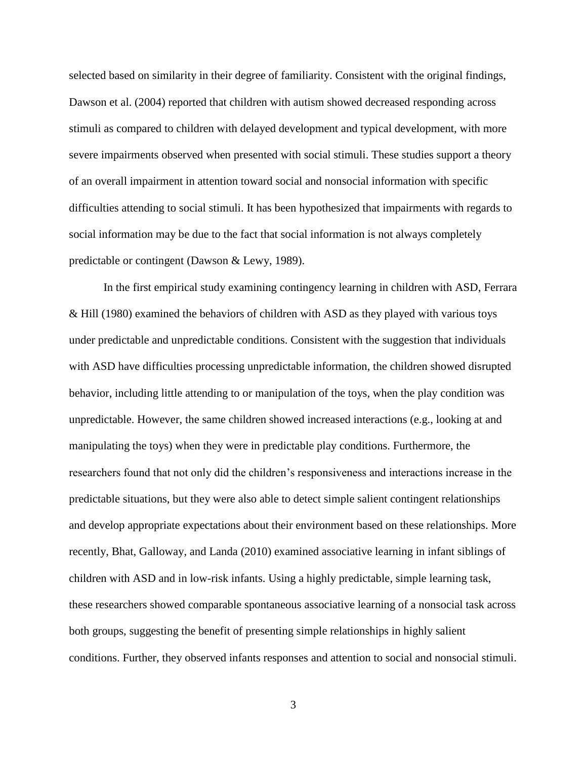selected based on similarity in their degree of familiarity. Consistent with the original findings, Dawson et al. (2004) reported that children with autism showed decreased responding across stimuli as compared to children with delayed development and typical development, with more severe impairments observed when presented with social stimuli. These studies support a theory of an overall impairment in attention toward social and nonsocial information with specific difficulties attending to social stimuli. It has been hypothesized that impairments with regards to social information may be due to the fact that social information is not always completely predictable or contingent (Dawson & Lewy, 1989).

In the first empirical study examining contingency learning in children with ASD, Ferrara & Hill (1980) examined the behaviors of children with ASD as they played with various toys under predictable and unpredictable conditions. Consistent with the suggestion that individuals with ASD have difficulties processing unpredictable information, the children showed disrupted behavior, including little attending to or manipulation of the toys, when the play condition was unpredictable. However, the same children showed increased interactions (e.g., looking at and manipulating the toys) when they were in predictable play conditions. Furthermore, the researchers found that not only did the children's responsiveness and interactions increase in the predictable situations, but they were also able to detect simple salient contingent relationships and develop appropriate expectations about their environment based on these relationships. More recently, Bhat, Galloway, and Landa (2010) examined associative learning in infant siblings of children with ASD and in low-risk infants. Using a highly predictable, simple learning task, these researchers showed comparable spontaneous associative learning of a nonsocial task across both groups, suggesting the benefit of presenting simple relationships in highly salient conditions. Further, they observed infants responses and attention to social and nonsocial stimuli.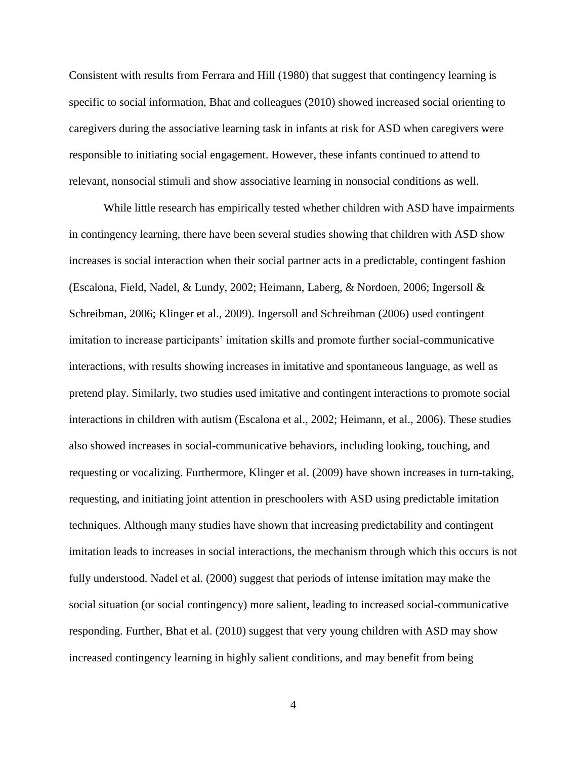Consistent with results from Ferrara and Hill (1980) that suggest that contingency learning is specific to social information, Bhat and colleagues (2010) showed increased social orienting to caregivers during the associative learning task in infants at risk for ASD when caregivers were responsible to initiating social engagement. However, these infants continued to attend to relevant, nonsocial stimuli and show associative learning in nonsocial conditions as well.

While little research has empirically tested whether children with ASD have impairments in contingency learning, there have been several studies showing that children with ASD show increases is social interaction when their social partner acts in a predictable, contingent fashion (Escalona, Field, Nadel, & Lundy, 2002; Heimann, Laberg, & Nordoen, 2006; Ingersoll & Schreibman, 2006; Klinger et al., 2009). Ingersoll and Schreibman (2006) used contingent imitation to increase participants' imitation skills and promote further social-communicative interactions, with results showing increases in imitative and spontaneous language, as well as pretend play. Similarly, two studies used imitative and contingent interactions to promote social interactions in children with autism (Escalona et al., 2002; Heimann, et al., 2006). These studies also showed increases in social-communicative behaviors, including looking, touching, and requesting or vocalizing. Furthermore, Klinger et al. (2009) have shown increases in turn-taking, requesting, and initiating joint attention in preschoolers with ASD using predictable imitation techniques. Although many studies have shown that increasing predictability and contingent imitation leads to increases in social interactions, the mechanism through which this occurs is not fully understood. Nadel et al. (2000) suggest that periods of intense imitation may make the social situation (or social contingency) more salient, leading to increased social-communicative responding. Further, Bhat et al. (2010) suggest that very young children with ASD may show increased contingency learning in highly salient conditions, and may benefit from being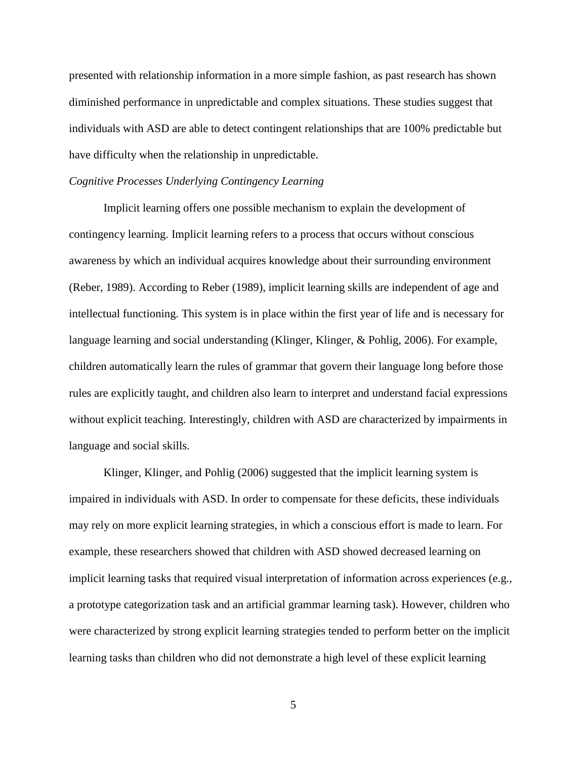presented with relationship information in a more simple fashion, as past research has shown diminished performance in unpredictable and complex situations. These studies suggest that individuals with ASD are able to detect contingent relationships that are 100% predictable but have difficulty when the relationship in unpredictable.

# *Cognitive Processes Underlying Contingency Learning*

Implicit learning offers one possible mechanism to explain the development of contingency learning. Implicit learning refers to a process that occurs without conscious awareness by which an individual acquires knowledge about their surrounding environment (Reber, 1989). According to Reber (1989), implicit learning skills are independent of age and intellectual functioning. This system is in place within the first year of life and is necessary for language learning and social understanding (Klinger, Klinger, & Pohlig, 2006). For example, children automatically learn the rules of grammar that govern their language long before those rules are explicitly taught, and children also learn to interpret and understand facial expressions without explicit teaching. Interestingly, children with ASD are characterized by impairments in language and social skills.

Klinger, Klinger, and Pohlig (2006) suggested that the implicit learning system is impaired in individuals with ASD. In order to compensate for these deficits, these individuals may rely on more explicit learning strategies, in which a conscious effort is made to learn. For example, these researchers showed that children with ASD showed decreased learning on implicit learning tasks that required visual interpretation of information across experiences (e.g., a prototype categorization task and an artificial grammar learning task). However, children who were characterized by strong explicit learning strategies tended to perform better on the implicit learning tasks than children who did not demonstrate a high level of these explicit learning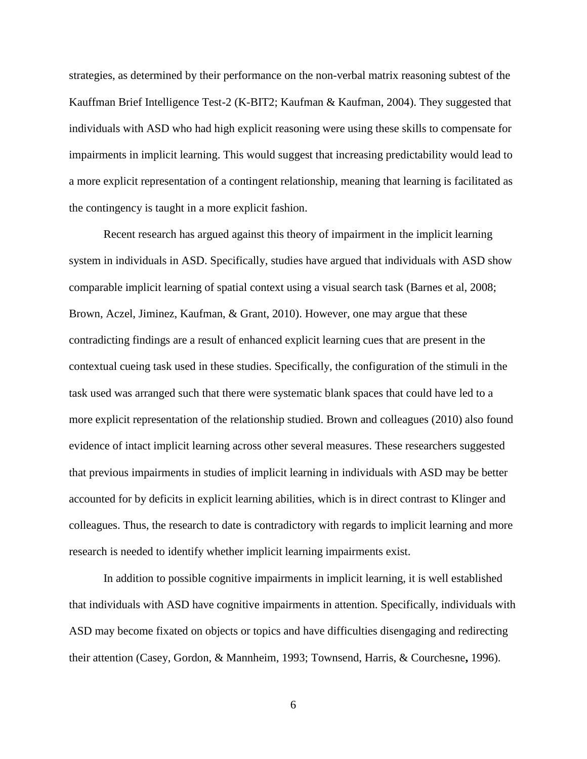strategies, as determined by their performance on the non-verbal matrix reasoning subtest of the Kauffman Brief Intelligence Test-2 (K-BIT2; Kaufman & Kaufman, 2004). They suggested that individuals with ASD who had high explicit reasoning were using these skills to compensate for impairments in implicit learning. This would suggest that increasing predictability would lead to a more explicit representation of a contingent relationship, meaning that learning is facilitated as the contingency is taught in a more explicit fashion.

Recent research has argued against this theory of impairment in the implicit learning system in individuals in ASD. Specifically, studies have argued that individuals with ASD show comparable implicit learning of spatial context using a visual search task (Barnes et al, 2008; Brown, Aczel, Jiminez, Kaufman, & Grant, 2010). However, one may argue that these contradicting findings are a result of enhanced explicit learning cues that are present in the contextual cueing task used in these studies. Specifically, the configuration of the stimuli in the task used was arranged such that there were systematic blank spaces that could have led to a more explicit representation of the relationship studied. Brown and colleagues (2010) also found evidence of intact implicit learning across other several measures. These researchers suggested that previous impairments in studies of implicit learning in individuals with ASD may be better accounted for by deficits in explicit learning abilities, which is in direct contrast to Klinger and colleagues. Thus, the research to date is contradictory with regards to implicit learning and more research is needed to identify whether implicit learning impairments exist.

In addition to possible cognitive impairments in implicit learning, it is well established that individuals with ASD have cognitive impairments in attention. Specifically, individuals with ASD may become fixated on objects or topics and have difficulties disengaging and redirecting their attention (Casey, Gordon, & Mannheim, 1993; Townsend, Harris, & Courchesne**,** 1996).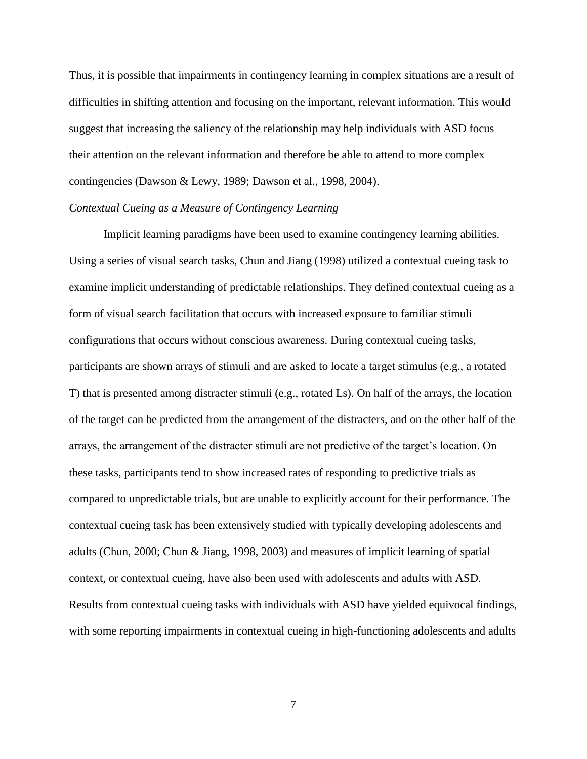Thus, it is possible that impairments in contingency learning in complex situations are a result of difficulties in shifting attention and focusing on the important, relevant information. This would suggest that increasing the saliency of the relationship may help individuals with ASD focus their attention on the relevant information and therefore be able to attend to more complex contingencies (Dawson & Lewy, 1989; Dawson et al., 1998, 2004).

# *Contextual Cueing as a Measure of Contingency Learning*

Implicit learning paradigms have been used to examine contingency learning abilities. Using a series of visual search tasks, Chun and Jiang (1998) utilized a contextual cueing task to examine implicit understanding of predictable relationships. They defined contextual cueing as a form of visual search facilitation that occurs with increased exposure to familiar stimuli configurations that occurs without conscious awareness. During contextual cueing tasks, participants are shown arrays of stimuli and are asked to locate a target stimulus (e.g., a rotated T) that is presented among distracter stimuli (e.g., rotated Ls). On half of the arrays, the location of the target can be predicted from the arrangement of the distracters, and on the other half of the arrays, the arrangement of the distracter stimuli are not predictive of the target's location. On these tasks, participants tend to show increased rates of responding to predictive trials as compared to unpredictable trials, but are unable to explicitly account for their performance. The contextual cueing task has been extensively studied with typically developing adolescents and adults (Chun, 2000; Chun & Jiang, 1998, 2003) and measures of implicit learning of spatial context, or contextual cueing, have also been used with adolescents and adults with ASD. Results from contextual cueing tasks with individuals with ASD have yielded equivocal findings, with some reporting impairments in contextual cueing in high-functioning adolescents and adults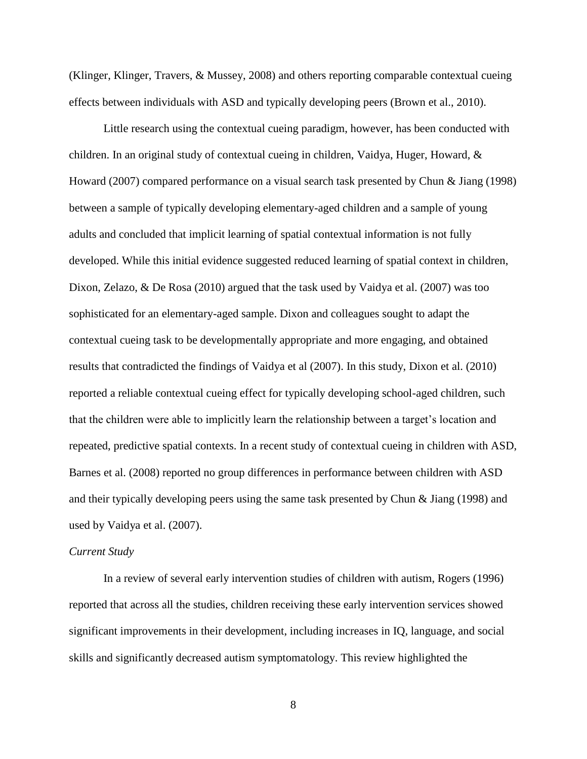(Klinger, Klinger, Travers, & Mussey, 2008) and others reporting comparable contextual cueing effects between individuals with ASD and typically developing peers (Brown et al., 2010).

Little research using the contextual cueing paradigm, however, has been conducted with children. In an original study of contextual cueing in children, Vaidya, Huger, Howard, & Howard (2007) compared performance on a visual search task presented by Chun & Jiang (1998) between a sample of typically developing elementary-aged children and a sample of young adults and concluded that implicit learning of spatial contextual information is not fully developed. While this initial evidence suggested reduced learning of spatial context in children, Dixon, Zelazo, & De Rosa (2010) argued that the task used by Vaidya et al. (2007) was too sophisticated for an elementary-aged sample. Dixon and colleagues sought to adapt the contextual cueing task to be developmentally appropriate and more engaging, and obtained results that contradicted the findings of Vaidya et al (2007). In this study, Dixon et al. (2010) reported a reliable contextual cueing effect for typically developing school-aged children, such that the children were able to implicitly learn the relationship between a target's location and repeated, predictive spatial contexts. In a recent study of contextual cueing in children with ASD, Barnes et al. (2008) reported no group differences in performance between children with ASD and their typically developing peers using the same task presented by Chun & Jiang (1998) and used by Vaidya et al. (2007).

# *Current Study*

In a review of several early intervention studies of children with autism, Rogers (1996) reported that across all the studies, children receiving these early intervention services showed significant improvements in their development, including increases in IQ, language, and social skills and significantly decreased autism symptomatology. This review highlighted the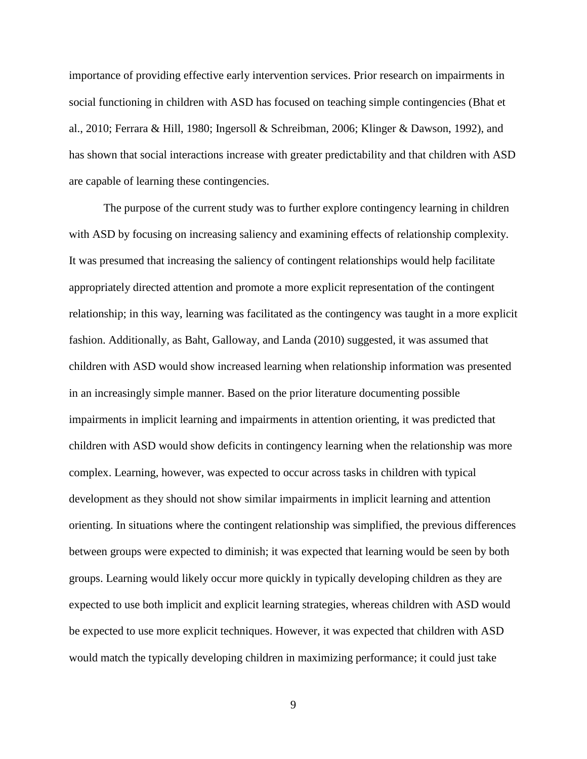importance of providing effective early intervention services. Prior research on impairments in social functioning in children with ASD has focused on teaching simple contingencies (Bhat et al., 2010; Ferrara & Hill, 1980; Ingersoll & Schreibman, 2006; Klinger & Dawson, 1992), and has shown that social interactions increase with greater predictability and that children with ASD are capable of learning these contingencies.

The purpose of the current study was to further explore contingency learning in children with ASD by focusing on increasing saliency and examining effects of relationship complexity. It was presumed that increasing the saliency of contingent relationships would help facilitate appropriately directed attention and promote a more explicit representation of the contingent relationship; in this way, learning was facilitated as the contingency was taught in a more explicit fashion. Additionally, as Baht, Galloway, and Landa (2010) suggested, it was assumed that children with ASD would show increased learning when relationship information was presented in an increasingly simple manner. Based on the prior literature documenting possible impairments in implicit learning and impairments in attention orienting, it was predicted that children with ASD would show deficits in contingency learning when the relationship was more complex. Learning, however, was expected to occur across tasks in children with typical development as they should not show similar impairments in implicit learning and attention orienting. In situations where the contingent relationship was simplified, the previous differences between groups were expected to diminish; it was expected that learning would be seen by both groups. Learning would likely occur more quickly in typically developing children as they are expected to use both implicit and explicit learning strategies, whereas children with ASD would be expected to use more explicit techniques. However, it was expected that children with ASD would match the typically developing children in maximizing performance; it could just take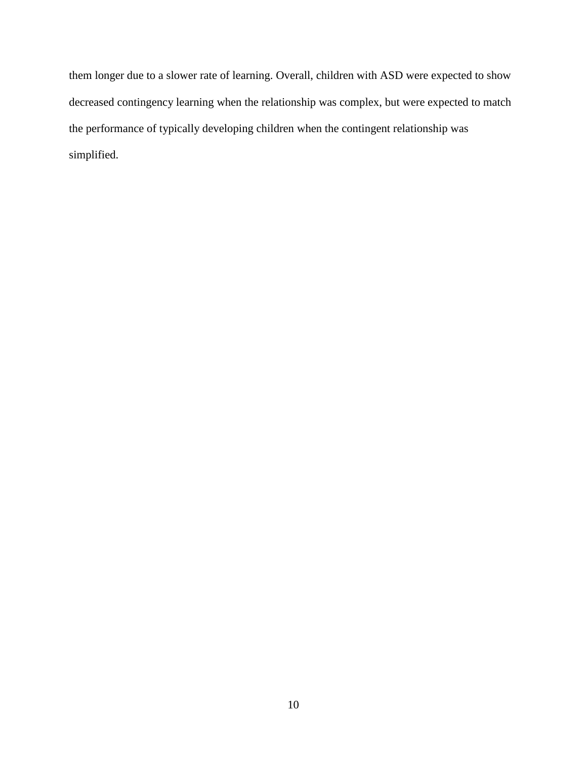them longer due to a slower rate of learning. Overall, children with ASD were expected to show decreased contingency learning when the relationship was complex, but were expected to match the performance of typically developing children when the contingent relationship was simplified.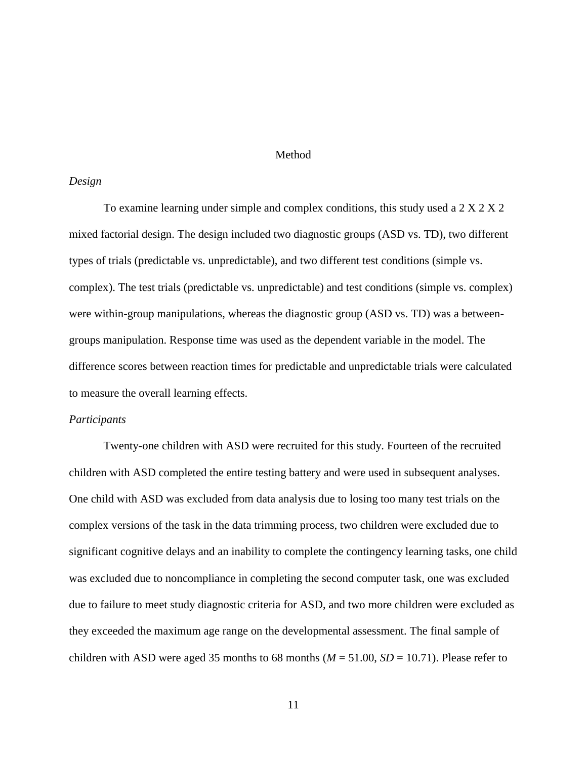# Method

#### *Design*

To examine learning under simple and complex conditions, this study used a 2 X 2 X 2 mixed factorial design. The design included two diagnostic groups (ASD vs. TD), two different types of trials (predictable vs. unpredictable), and two different test conditions (simple vs. complex). The test trials (predictable vs. unpredictable) and test conditions (simple vs. complex) were within-group manipulations, whereas the diagnostic group (ASD vs. TD) was a betweengroups manipulation. Response time was used as the dependent variable in the model. The difference scores between reaction times for predictable and unpredictable trials were calculated to measure the overall learning effects.

#### *Participants*

Twenty-one children with ASD were recruited for this study. Fourteen of the recruited children with ASD completed the entire testing battery and were used in subsequent analyses. One child with ASD was excluded from data analysis due to losing too many test trials on the complex versions of the task in the data trimming process, two children were excluded due to significant cognitive delays and an inability to complete the contingency learning tasks, one child was excluded due to noncompliance in completing the second computer task, one was excluded due to failure to meet study diagnostic criteria for ASD, and two more children were excluded as they exceeded the maximum age range on the developmental assessment. The final sample of children with ASD were aged 35 months to 68 months  $(M = 51.00, SD = 10.71)$ . Please refer to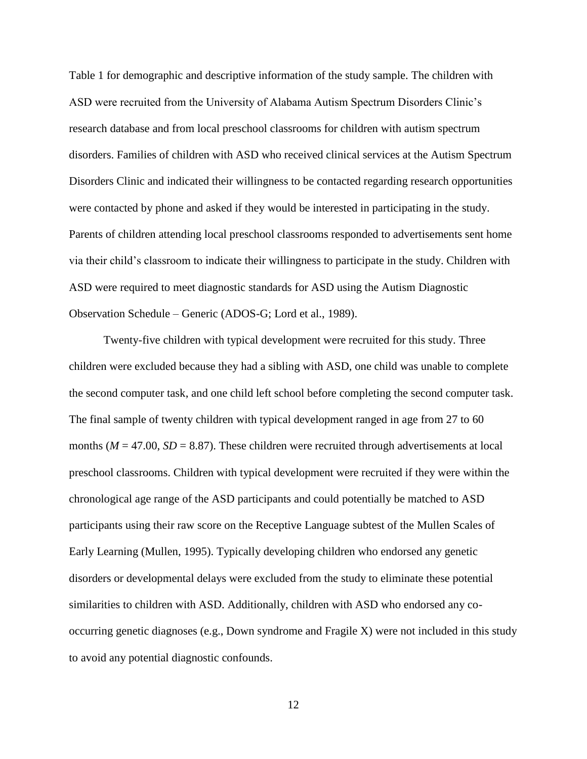Table 1 for demographic and descriptive information of the study sample. The children with ASD were recruited from the University of Alabama Autism Spectrum Disorders Clinic's research database and from local preschool classrooms for children with autism spectrum disorders. Families of children with ASD who received clinical services at the Autism Spectrum Disorders Clinic and indicated their willingness to be contacted regarding research opportunities were contacted by phone and asked if they would be interested in participating in the study. Parents of children attending local preschool classrooms responded to advertisements sent home via their child's classroom to indicate their willingness to participate in the study. Children with ASD were required to meet diagnostic standards for ASD using the Autism Diagnostic Observation Schedule – Generic (ADOS-G; Lord et al., 1989).

Twenty-five children with typical development were recruited for this study. Three children were excluded because they had a sibling with ASD, one child was unable to complete the second computer task, and one child left school before completing the second computer task. The final sample of twenty children with typical development ranged in age from 27 to 60 months ( $M = 47.00$ ,  $SD = 8.87$ ). These children were recruited through advertisements at local preschool classrooms. Children with typical development were recruited if they were within the chronological age range of the ASD participants and could potentially be matched to ASD participants using their raw score on the Receptive Language subtest of the Mullen Scales of Early Learning (Mullen, 1995). Typically developing children who endorsed any genetic disorders or developmental delays were excluded from the study to eliminate these potential similarities to children with ASD. Additionally, children with ASD who endorsed any cooccurring genetic diagnoses (e.g., Down syndrome and Fragile X) were not included in this study to avoid any potential diagnostic confounds.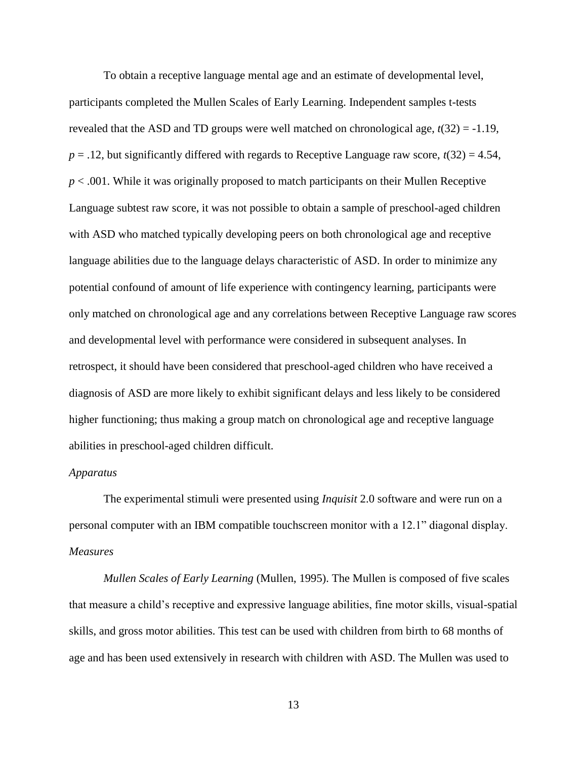To obtain a receptive language mental age and an estimate of developmental level, participants completed the Mullen Scales of Early Learning. Independent samples t-tests revealed that the ASD and TD groups were well matched on chronological age, *t*(32) = -1.19,  $p = 0.12$ , but significantly differed with regards to Receptive Language raw score,  $t(32) = 4.54$ , *p* < .001. While it was originally proposed to match participants on their Mullen Receptive Language subtest raw score, it was not possible to obtain a sample of preschool-aged children with ASD who matched typically developing peers on both chronological age and receptive language abilities due to the language delays characteristic of ASD. In order to minimize any potential confound of amount of life experience with contingency learning, participants were only matched on chronological age and any correlations between Receptive Language raw scores and developmental level with performance were considered in subsequent analyses. In retrospect, it should have been considered that preschool-aged children who have received a diagnosis of ASD are more likely to exhibit significant delays and less likely to be considered higher functioning; thus making a group match on chronological age and receptive language abilities in preschool-aged children difficult.

# *Apparatus*

The experimental stimuli were presented using *Inquisit* 2.0 software and were run on a personal computer with an IBM compatible touchscreen monitor with a 12.1" diagonal display. *Measures*

*Mullen Scales of Early Learning* (Mullen, 1995). The Mullen is composed of five scales that measure a child's receptive and expressive language abilities, fine motor skills, visual-spatial skills, and gross motor abilities. This test can be used with children from birth to 68 months of age and has been used extensively in research with children with ASD. The Mullen was used to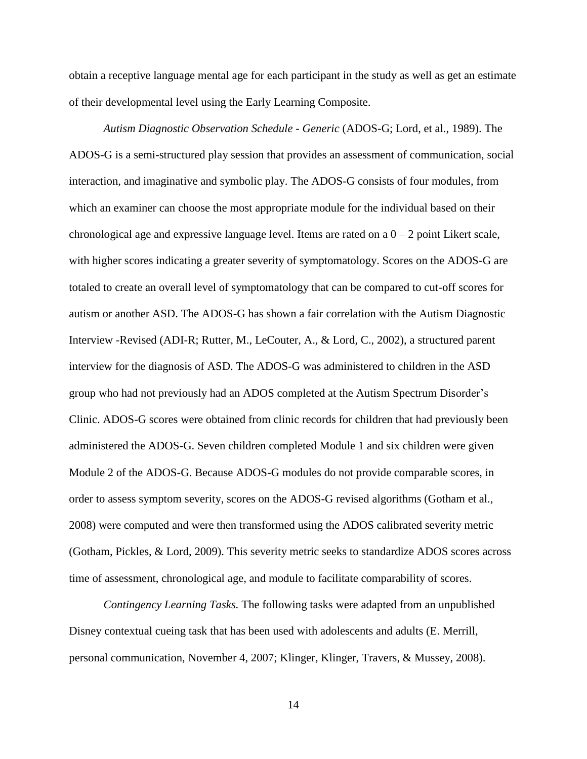obtain a receptive language mental age for each participant in the study as well as get an estimate of their developmental level using the Early Learning Composite.

*Autism Diagnostic Observation Schedule - Generic* (ADOS-G; Lord, et al., 1989). The ADOS-G is a semi-structured play session that provides an assessment of communication, social interaction, and imaginative and symbolic play. The ADOS-G consists of four modules, from which an examiner can choose the most appropriate module for the individual based on their chronological age and expressive language level. Items are rated on a  $0 - 2$  point Likert scale, with higher scores indicating a greater severity of symptomatology. Scores on the ADOS-G are totaled to create an overall level of symptomatology that can be compared to cut-off scores for autism or another ASD. The ADOS-G has shown a fair correlation with the Autism Diagnostic Interview -Revised (ADI-R; Rutter, M., LeCouter, A., & Lord, C., 2002), a structured parent interview for the diagnosis of ASD. The ADOS-G was administered to children in the ASD group who had not previously had an ADOS completed at the Autism Spectrum Disorder's Clinic. ADOS-G scores were obtained from clinic records for children that had previously been administered the ADOS-G. Seven children completed Module 1 and six children were given Module 2 of the ADOS-G. Because ADOS-G modules do not provide comparable scores, in order to assess symptom severity, scores on the ADOS-G revised algorithms (Gotham et al., 2008) were computed and were then transformed using the ADOS calibrated severity metric (Gotham, Pickles, & Lord, 2009). This severity metric seeks to standardize ADOS scores across time of assessment, chronological age, and module to facilitate comparability of scores.

*Contingency Learning Tasks.* The following tasks were adapted from an unpublished Disney contextual cueing task that has been used with adolescents and adults (E. Merrill, personal communication, November 4, 2007; Klinger, Klinger, Travers, & Mussey, 2008).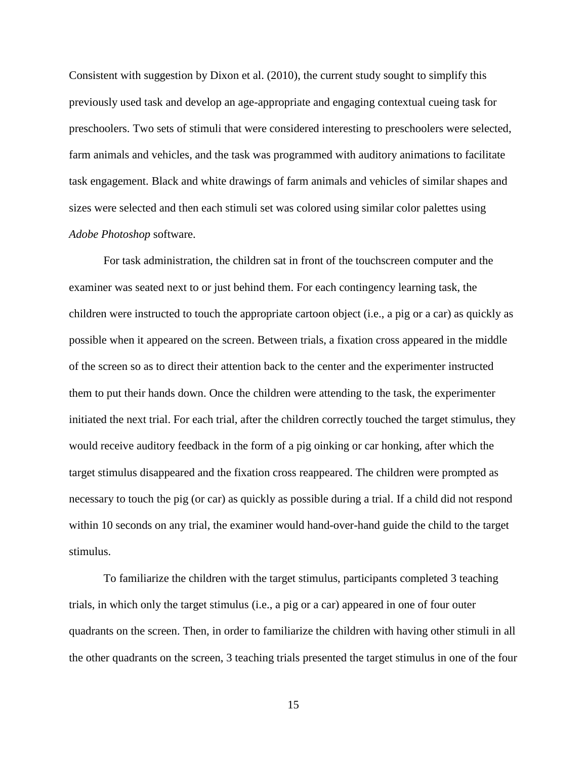Consistent with suggestion by Dixon et al. (2010), the current study sought to simplify this previously used task and develop an age-appropriate and engaging contextual cueing task for preschoolers. Two sets of stimuli that were considered interesting to preschoolers were selected, farm animals and vehicles, and the task was programmed with auditory animations to facilitate task engagement. Black and white drawings of farm animals and vehicles of similar shapes and sizes were selected and then each stimuli set was colored using similar color palettes using *Adobe Photoshop* software.

For task administration, the children sat in front of the touchscreen computer and the examiner was seated next to or just behind them. For each contingency learning task, the children were instructed to touch the appropriate cartoon object (i.e., a pig or a car) as quickly as possible when it appeared on the screen. Between trials, a fixation cross appeared in the middle of the screen so as to direct their attention back to the center and the experimenter instructed them to put their hands down. Once the children were attending to the task, the experimenter initiated the next trial. For each trial, after the children correctly touched the target stimulus, they would receive auditory feedback in the form of a pig oinking or car honking, after which the target stimulus disappeared and the fixation cross reappeared. The children were prompted as necessary to touch the pig (or car) as quickly as possible during a trial. If a child did not respond within 10 seconds on any trial, the examiner would hand-over-hand guide the child to the target stimulus.

To familiarize the children with the target stimulus, participants completed 3 teaching trials, in which only the target stimulus (i.e., a pig or a car) appeared in one of four outer quadrants on the screen. Then, in order to familiarize the children with having other stimuli in all the other quadrants on the screen, 3 teaching trials presented the target stimulus in one of the four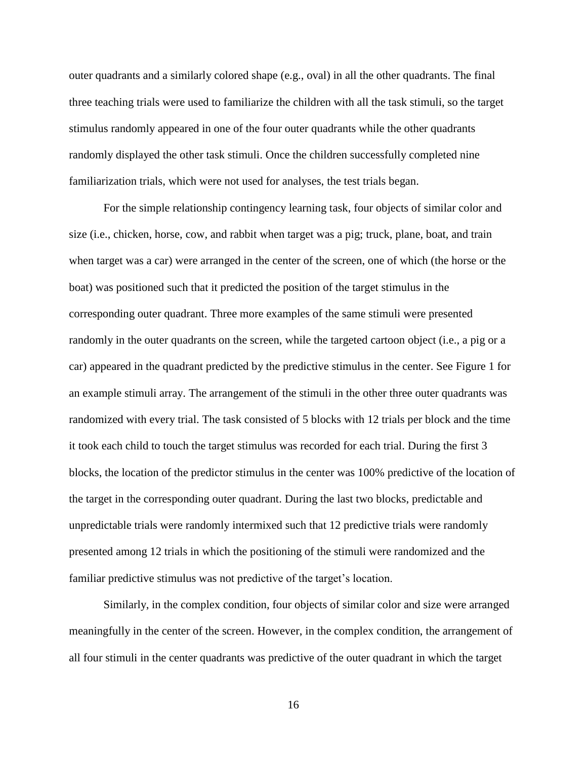outer quadrants and a similarly colored shape (e.g., oval) in all the other quadrants. The final three teaching trials were used to familiarize the children with all the task stimuli, so the target stimulus randomly appeared in one of the four outer quadrants while the other quadrants randomly displayed the other task stimuli. Once the children successfully completed nine familiarization trials, which were not used for analyses, the test trials began.

For the simple relationship contingency learning task, four objects of similar color and size (i.e., chicken, horse, cow, and rabbit when target was a pig; truck, plane, boat, and train when target was a car) were arranged in the center of the screen, one of which (the horse or the boat) was positioned such that it predicted the position of the target stimulus in the corresponding outer quadrant. Three more examples of the same stimuli were presented randomly in the outer quadrants on the screen, while the targeted cartoon object (i.e., a pig or a car) appeared in the quadrant predicted by the predictive stimulus in the center. See Figure 1 for an example stimuli array. The arrangement of the stimuli in the other three outer quadrants was randomized with every trial. The task consisted of 5 blocks with 12 trials per block and the time it took each child to touch the target stimulus was recorded for each trial. During the first 3 blocks, the location of the predictor stimulus in the center was 100% predictive of the location of the target in the corresponding outer quadrant. During the last two blocks, predictable and unpredictable trials were randomly intermixed such that 12 predictive trials were randomly presented among 12 trials in which the positioning of the stimuli were randomized and the familiar predictive stimulus was not predictive of the target's location.

Similarly, in the complex condition, four objects of similar color and size were arranged meaningfully in the center of the screen. However, in the complex condition, the arrangement of all four stimuli in the center quadrants was predictive of the outer quadrant in which the target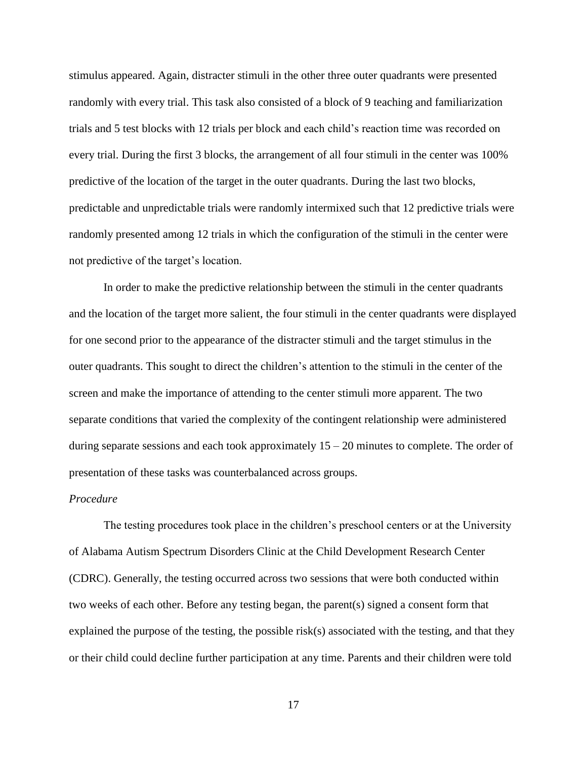stimulus appeared. Again, distracter stimuli in the other three outer quadrants were presented randomly with every trial. This task also consisted of a block of 9 teaching and familiarization trials and 5 test blocks with 12 trials per block and each child's reaction time was recorded on every trial. During the first 3 blocks, the arrangement of all four stimuli in the center was 100% predictive of the location of the target in the outer quadrants. During the last two blocks, predictable and unpredictable trials were randomly intermixed such that 12 predictive trials were randomly presented among 12 trials in which the configuration of the stimuli in the center were not predictive of the target's location.

In order to make the predictive relationship between the stimuli in the center quadrants and the location of the target more salient, the four stimuli in the center quadrants were displayed for one second prior to the appearance of the distracter stimuli and the target stimulus in the outer quadrants. This sought to direct the children's attention to the stimuli in the center of the screen and make the importance of attending to the center stimuli more apparent. The two separate conditions that varied the complexity of the contingent relationship were administered during separate sessions and each took approximately 15 – 20 minutes to complete. The order of presentation of these tasks was counterbalanced across groups.

# *Procedure*

The testing procedures took place in the children's preschool centers or at the University of Alabama Autism Spectrum Disorders Clinic at the Child Development Research Center (CDRC). Generally, the testing occurred across two sessions that were both conducted within two weeks of each other. Before any testing began, the parent(s) signed a consent form that explained the purpose of the testing, the possible risk(s) associated with the testing, and that they or their child could decline further participation at any time. Parents and their children were told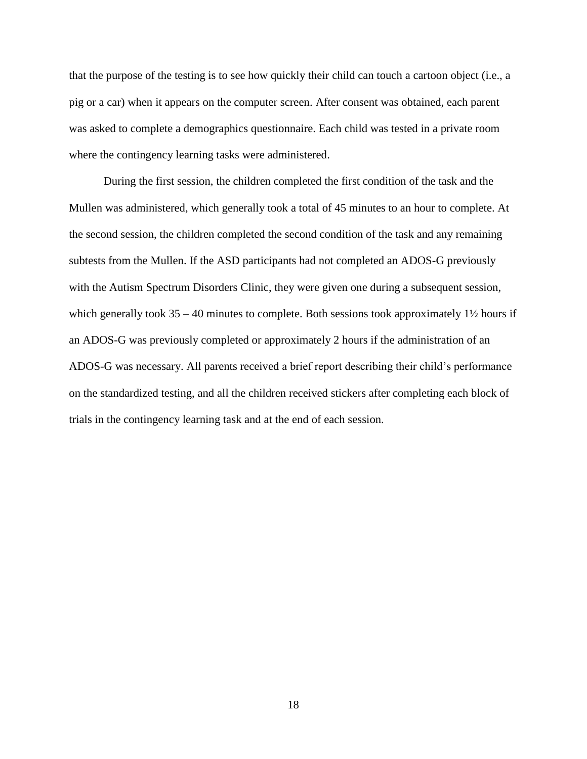that the purpose of the testing is to see how quickly their child can touch a cartoon object (i.e., a pig or a car) when it appears on the computer screen. After consent was obtained, each parent was asked to complete a demographics questionnaire. Each child was tested in a private room where the contingency learning tasks were administered.

During the first session, the children completed the first condition of the task and the Mullen was administered, which generally took a total of 45 minutes to an hour to complete. At the second session, the children completed the second condition of the task and any remaining subtests from the Mullen. If the ASD participants had not completed an ADOS-G previously with the Autism Spectrum Disorders Clinic, they were given one during a subsequent session, which generally took  $35 - 40$  minutes to complete. Both sessions took approximately  $1\frac{1}{2}$  hours if an ADOS-G was previously completed or approximately 2 hours if the administration of an ADOS-G was necessary. All parents received a brief report describing their child's performance on the standardized testing, and all the children received stickers after completing each block of trials in the contingency learning task and at the end of each session.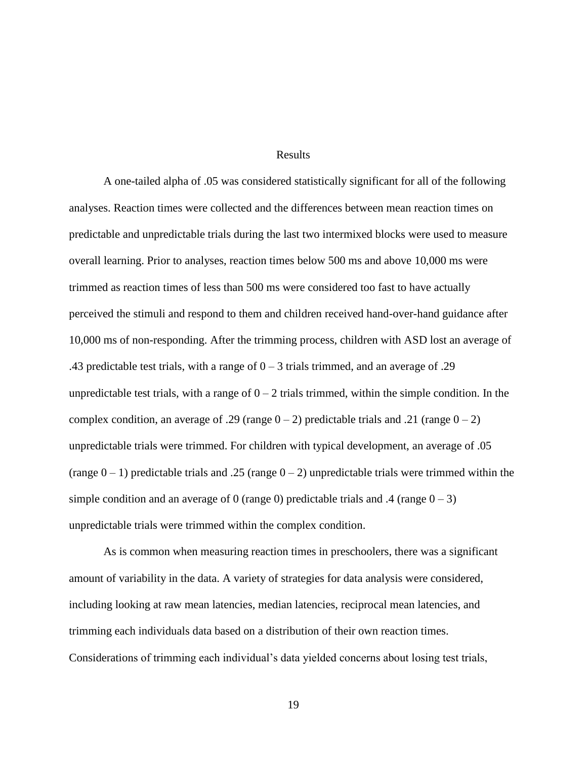# Results

A one-tailed alpha of .05 was considered statistically significant for all of the following analyses. Reaction times were collected and the differences between mean reaction times on predictable and unpredictable trials during the last two intermixed blocks were used to measure overall learning. Prior to analyses, reaction times below 500 ms and above 10,000 ms were trimmed as reaction times of less than 500 ms were considered too fast to have actually perceived the stimuli and respond to them and children received hand-over-hand guidance after 10,000 ms of non-responding. After the trimming process, children with ASD lost an average of .43 predictable test trials, with a range of  $0-3$  trials trimmed, and an average of .29 unpredictable test trials, with a range of  $0 - 2$  trials trimmed, within the simple condition. In the complex condition, an average of .29 (range  $0 - 2$ ) predictable trials and .21 (range  $0 - 2$ ) unpredictable trials were trimmed. For children with typical development, an average of .05 (range  $0 - 1$ ) predictable trials and .25 (range  $0 - 2$ ) unpredictable trials were trimmed within the simple condition and an average of 0 (range 0) predictable trials and .4 (range  $0 - 3$ ) unpredictable trials were trimmed within the complex condition.

As is common when measuring reaction times in preschoolers, there was a significant amount of variability in the data. A variety of strategies for data analysis were considered, including looking at raw mean latencies, median latencies, reciprocal mean latencies, and trimming each individuals data based on a distribution of their own reaction times. Considerations of trimming each individual's data yielded concerns about losing test trials,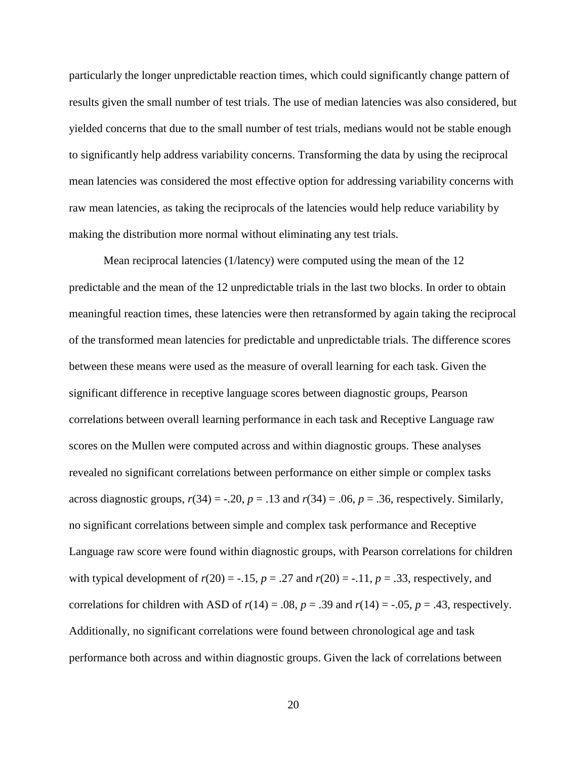particularly the longer unpredictable reaction times, which could significantly change pattern of results given the small number of test trials. The use of median latencies was also considered, but yielded concerns that due to the small number of test trials, medians would not be stable enough to significantly help address variability concerns. Transforming the data by using the reciprocal mean latencies was considered the most effective option for addressing variability concerns with raw mean latencies, as taking the reciprocals of the latencies would help reduce variability by making the distribution more normal without eliminating any test trials.

Mean reciprocal latencies (1/latency) were computed using the mean of the 12 predictable and the mean of the 12 unpredictable trials in the last two blocks. In order to obtain meaningful reaction times, these latencies were then retransformed by again taking the reciprocal of the transformed mean latencies for predictable and unpredictable trials. The difference scores between these means were used as the measure of overall learning for each task. Given the significant difference in receptive language scores between diagnostic groups, Pearson correlations between overall learning performance in each task and Receptive Language raw scores on the Mullen were computed across and within diagnostic groups. These analyses revealed no significant correlations between performance on either simple or complex tasks across diagnostic groups,  $r(34) = -.20$ ,  $p = .13$  and  $r(34) = .06$ ,  $p = .36$ , respectively. Similarly, no significant correlations between simple and complex task performance and Receptive Language raw score were found within diagnostic groups, with Pearson correlations for children with typical development of  $r(20) = -0.15$ ,  $p = 0.27$  and  $r(20) = -0.11$ ,  $p = 0.33$ , respectively, and correlations for children with ASD of  $r(14) = .08$ ,  $p = .39$  and  $r(14) = .05$ ,  $p = .43$ , respectively. Additionally, no significant correlations were found between chronological age and task performance both across and within diagnostic groups. Given the lack of correlations between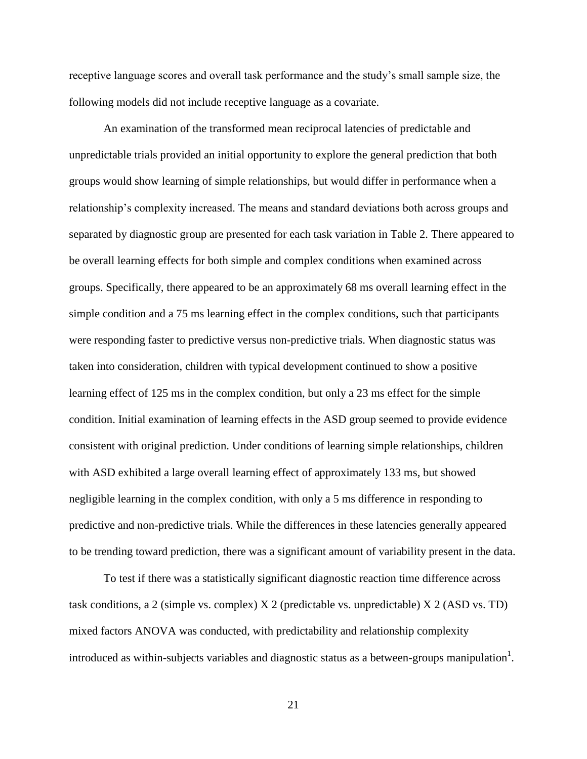receptive language scores and overall task performance and the study's small sample size, the following models did not include receptive language as a covariate.

An examination of the transformed mean reciprocal latencies of predictable and unpredictable trials provided an initial opportunity to explore the general prediction that both groups would show learning of simple relationships, but would differ in performance when a relationship's complexity increased. The means and standard deviations both across groups and separated by diagnostic group are presented for each task variation in Table 2. There appeared to be overall learning effects for both simple and complex conditions when examined across groups. Specifically, there appeared to be an approximately 68 ms overall learning effect in the simple condition and a 75 ms learning effect in the complex conditions, such that participants were responding faster to predictive versus non-predictive trials. When diagnostic status was taken into consideration, children with typical development continued to show a positive learning effect of 125 ms in the complex condition, but only a 23 ms effect for the simple condition. Initial examination of learning effects in the ASD group seemed to provide evidence consistent with original prediction. Under conditions of learning simple relationships, children with ASD exhibited a large overall learning effect of approximately 133 ms, but showed negligible learning in the complex condition, with only a 5 ms difference in responding to predictive and non-predictive trials. While the differences in these latencies generally appeared to be trending toward prediction, there was a significant amount of variability present in the data.

To test if there was a statistically significant diagnostic reaction time difference across task conditions, a 2 (simple vs. complex) X 2 (predictable vs. unpredictable) X 2 (ASD vs. TD) mixed factors ANOVA was conducted, with predictability and relationship complexity introduced as within-subjects variables and diagnostic status as a between-groups manipulation<sup>1</sup>.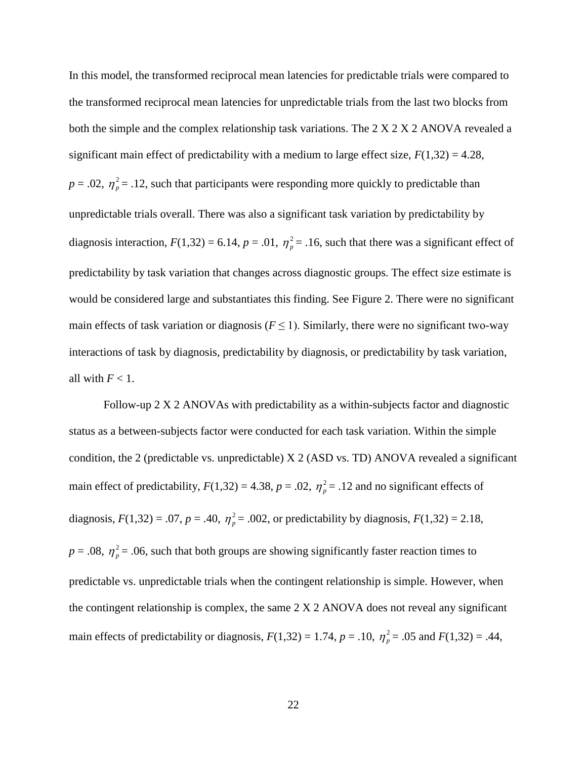In this model, the transformed reciprocal mean latencies for predictable trials were compared to the transformed reciprocal mean latencies for unpredictable trials from the last two blocks from both the simple and the complex relationship task variations. The  $2 \times 2 \times 2$  ANOVA revealed a significant main effect of predictability with a medium to large effect size,  $F(1,32) = 4.28$ ,  $p = .02$ ,  $\eta_p^2 = .12$ , such that participants were responding more quickly to predictable than unpredictable trials overall. There was also a significant task variation by predictability by diagnosis interaction,  $F(1,32) = 6.14$ ,  $p = .01$ ,  $\eta_p^2 = .16$ , such that there was a significant effect of predictability by task variation that changes across diagnostic groups. The effect size estimate is would be considered large and substantiates this finding. See Figure 2. There were no significant main effects of task variation or diagnosis ( $F \le 1$ ). Similarly, there were no significant two-way interactions of task by diagnosis, predictability by diagnosis, or predictability by task variation, all with  $F < 1$ .

Follow-up 2 X 2 ANOVAs with predictability as a within-subjects factor and diagnostic status as a between-subjects factor were conducted for each task variation. Within the simple condition, the 2 (predictable vs. unpredictable) X 2 (ASD vs. TD) ANOVA revealed a significant main effect of predictability,  $F(1,32) = 4.38$ ,  $p = .02$ ,  $\eta_p^2 = .12$  and no significant effects of diagnosis,  $F(1,32) = .07$ ,  $p = .40$ ,  $\eta_p^2 = .002$ , or predictability by diagnosis,  $F(1,32) = 2.18$ ,  $p = 0.08$ ,  $\eta_p^2 = 0.06$ , such that both groups are showing significantly faster reaction times to predictable vs. unpredictable trials when the contingent relationship is simple. However, when the contingent relationship is complex, the same 2 X 2 ANOVA does not reveal any significant main effects of predictability or diagnosis,  $F(1,32) = 1.74$ ,  $p = .10$ ,  $\eta_p^2 = .05$  and  $F(1,32) = .44$ ,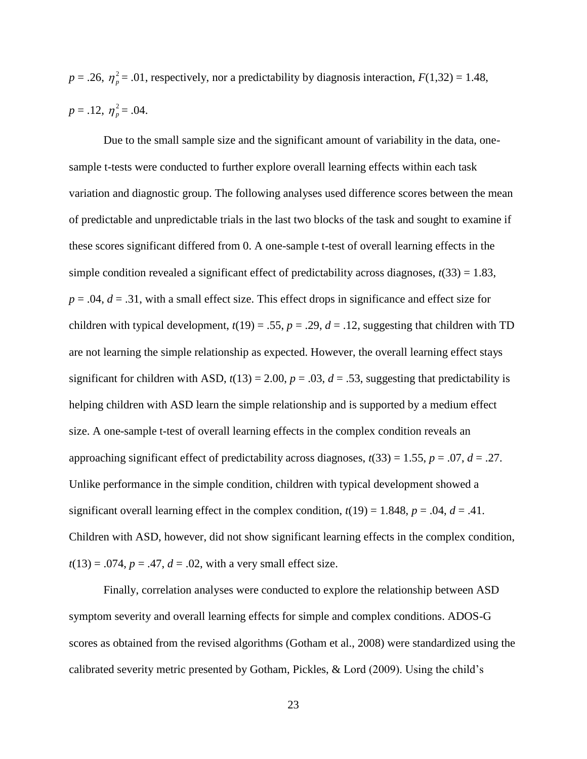$p = .26$ ,  $\eta_p^2 = .01$ , respectively, nor a predictability by diagnosis interaction,  $F(1,32) = 1.48$ ,  $p = .12, \eta_p^2 = .04.$ 

Due to the small sample size and the significant amount of variability in the data, onesample t-tests were conducted to further explore overall learning effects within each task variation and diagnostic group. The following analyses used difference scores between the mean of predictable and unpredictable trials in the last two blocks of the task and sought to examine if these scores significant differed from 0. A one-sample t-test of overall learning effects in the simple condition revealed a significant effect of predictability across diagnoses,  $t(33) = 1.83$ ,  $p = .04$ ,  $d = .31$ , with a small effect size. This effect drops in significance and effect size for children with typical development,  $t(19) = .55$ ,  $p = .29$ ,  $d = .12$ , suggesting that children with TD are not learning the simple relationship as expected. However, the overall learning effect stays significant for children with ASD,  $t(13) = 2.00$ ,  $p = .03$ ,  $d = .53$ , suggesting that predictability is helping children with ASD learn the simple relationship and is supported by a medium effect size. A one-sample t-test of overall learning effects in the complex condition reveals an approaching significant effect of predictability across diagnoses,  $t(33) = 1.55$ ,  $p = .07$ ,  $d = .27$ . Unlike performance in the simple condition, children with typical development showed a significant overall learning effect in the complex condition,  $t(19) = 1.848$ ,  $p = .04$ ,  $d = .41$ . Children with ASD, however, did not show significant learning effects in the complex condition,  $t(13) = .074$ ,  $p = .47$ ,  $d = .02$ , with a very small effect size.

Finally, correlation analyses were conducted to explore the relationship between ASD symptom severity and overall learning effects for simple and complex conditions. ADOS-G scores as obtained from the revised algorithms (Gotham et al., 2008) were standardized using the calibrated severity metric presented by Gotham, Pickles, & Lord (2009). Using the child's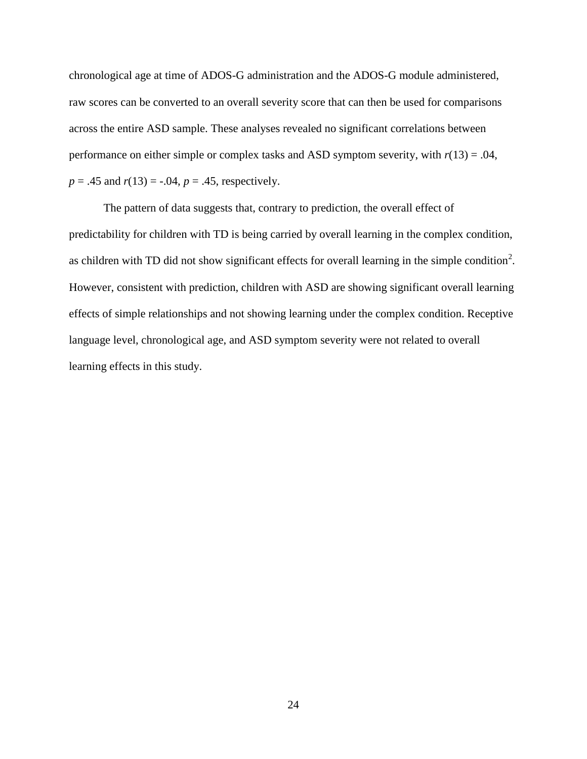chronological age at time of ADOS-G administration and the ADOS-G module administered, raw scores can be converted to an overall severity score that can then be used for comparisons across the entire ASD sample. These analyses revealed no significant correlations between performance on either simple or complex tasks and ASD symptom severity, with *r*(13) = .04,  $p = .45$  and  $r(13) = -.04$ ,  $p = .45$ , respectively.

The pattern of data suggests that, contrary to prediction, the overall effect of predictability for children with TD is being carried by overall learning in the complex condition, as children with TD did not show significant effects for overall learning in the simple condition<sup>2</sup>. However, consistent with prediction, children with ASD are showing significant overall learning effects of simple relationships and not showing learning under the complex condition. Receptive language level, chronological age, and ASD symptom severity were not related to overall learning effects in this study.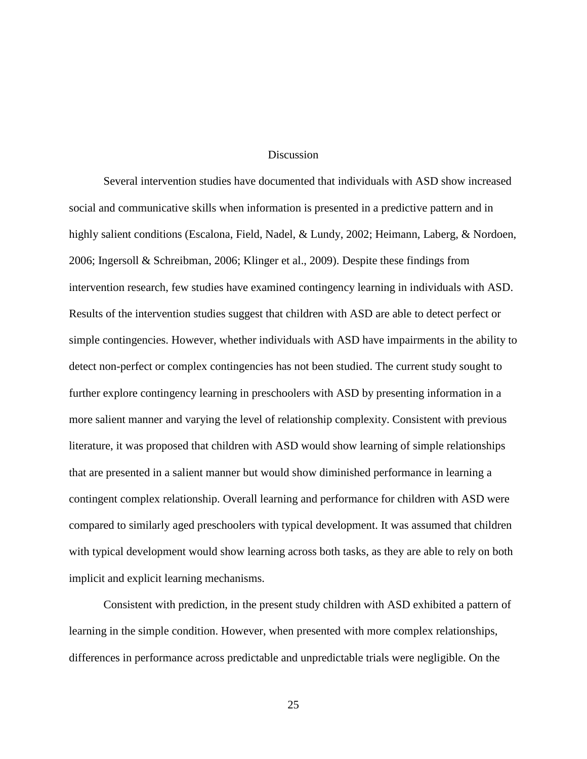# **Discussion**

Several intervention studies have documented that individuals with ASD show increased social and communicative skills when information is presented in a predictive pattern and in highly salient conditions (Escalona, Field, Nadel, & Lundy, 2002; Heimann, Laberg, & Nordoen, 2006; Ingersoll & Schreibman, 2006; Klinger et al., 2009). Despite these findings from intervention research, few studies have examined contingency learning in individuals with ASD. Results of the intervention studies suggest that children with ASD are able to detect perfect or simple contingencies. However, whether individuals with ASD have impairments in the ability to detect non-perfect or complex contingencies has not been studied. The current study sought to further explore contingency learning in preschoolers with ASD by presenting information in a more salient manner and varying the level of relationship complexity. Consistent with previous literature, it was proposed that children with ASD would show learning of simple relationships that are presented in a salient manner but would show diminished performance in learning a contingent complex relationship. Overall learning and performance for children with ASD were compared to similarly aged preschoolers with typical development. It was assumed that children with typical development would show learning across both tasks, as they are able to rely on both implicit and explicit learning mechanisms.

Consistent with prediction, in the present study children with ASD exhibited a pattern of learning in the simple condition. However, when presented with more complex relationships, differences in performance across predictable and unpredictable trials were negligible. On the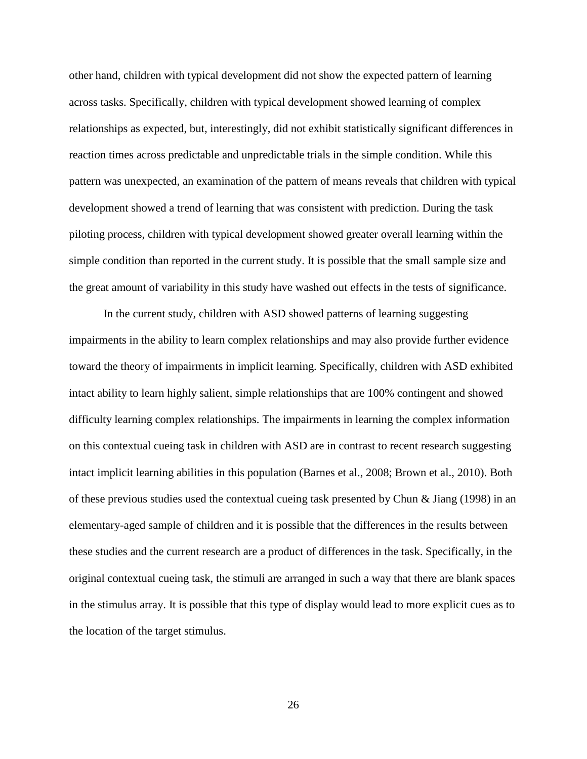other hand, children with typical development did not show the expected pattern of learning across tasks. Specifically, children with typical development showed learning of complex relationships as expected, but, interestingly, did not exhibit statistically significant differences in reaction times across predictable and unpredictable trials in the simple condition. While this pattern was unexpected, an examination of the pattern of means reveals that children with typical development showed a trend of learning that was consistent with prediction. During the task piloting process, children with typical development showed greater overall learning within the simple condition than reported in the current study. It is possible that the small sample size and the great amount of variability in this study have washed out effects in the tests of significance.

In the current study, children with ASD showed patterns of learning suggesting impairments in the ability to learn complex relationships and may also provide further evidence toward the theory of impairments in implicit learning. Specifically, children with ASD exhibited intact ability to learn highly salient, simple relationships that are 100% contingent and showed difficulty learning complex relationships. The impairments in learning the complex information on this contextual cueing task in children with ASD are in contrast to recent research suggesting intact implicit learning abilities in this population (Barnes et al., 2008; Brown et al., 2010). Both of these previous studies used the contextual cueing task presented by Chun & Jiang (1998) in an elementary-aged sample of children and it is possible that the differences in the results between these studies and the current research are a product of differences in the task. Specifically, in the original contextual cueing task, the stimuli are arranged in such a way that there are blank spaces in the stimulus array. It is possible that this type of display would lead to more explicit cues as to the location of the target stimulus.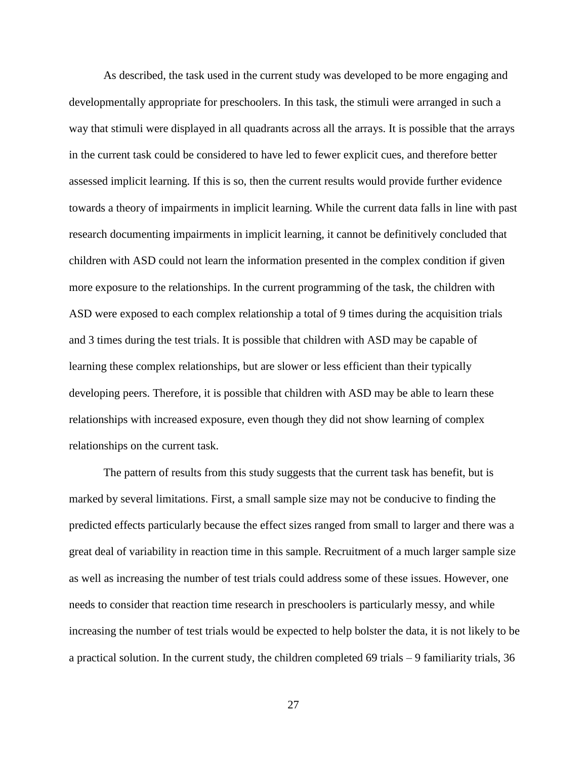As described, the task used in the current study was developed to be more engaging and developmentally appropriate for preschoolers. In this task, the stimuli were arranged in such a way that stimuli were displayed in all quadrants across all the arrays. It is possible that the arrays in the current task could be considered to have led to fewer explicit cues, and therefore better assessed implicit learning. If this is so, then the current results would provide further evidence towards a theory of impairments in implicit learning. While the current data falls in line with past research documenting impairments in implicit learning, it cannot be definitively concluded that children with ASD could not learn the information presented in the complex condition if given more exposure to the relationships. In the current programming of the task, the children with ASD were exposed to each complex relationship a total of 9 times during the acquisition trials and 3 times during the test trials. It is possible that children with ASD may be capable of learning these complex relationships, but are slower or less efficient than their typically developing peers. Therefore, it is possible that children with ASD may be able to learn these relationships with increased exposure, even though they did not show learning of complex relationships on the current task.

The pattern of results from this study suggests that the current task has benefit, but is marked by several limitations. First, a small sample size may not be conducive to finding the predicted effects particularly because the effect sizes ranged from small to larger and there was a great deal of variability in reaction time in this sample. Recruitment of a much larger sample size as well as increasing the number of test trials could address some of these issues. However, one needs to consider that reaction time research in preschoolers is particularly messy, and while increasing the number of test trials would be expected to help bolster the data, it is not likely to be a practical solution. In the current study, the children completed 69 trials – 9 familiarity trials, 36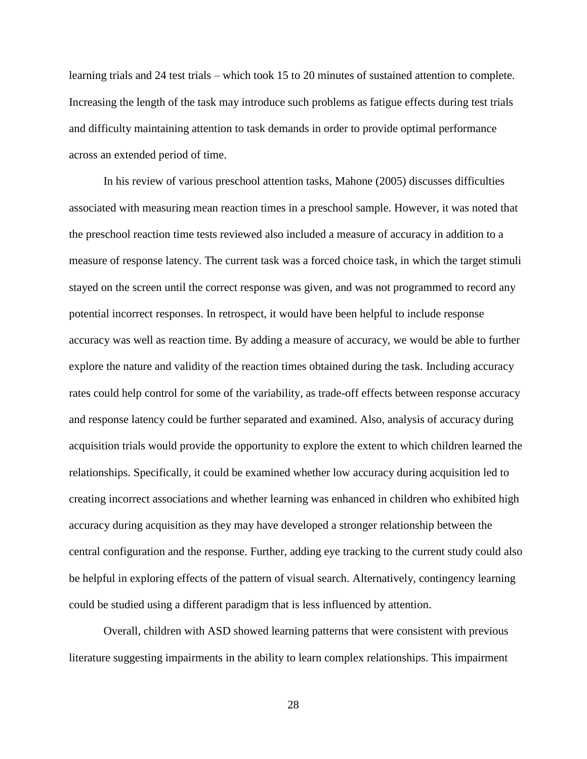learning trials and 24 test trials – which took 15 to 20 minutes of sustained attention to complete. Increasing the length of the task may introduce such problems as fatigue effects during test trials and difficulty maintaining attention to task demands in order to provide optimal performance across an extended period of time.

In his review of various preschool attention tasks, Mahone (2005) discusses difficulties associated with measuring mean reaction times in a preschool sample. However, it was noted that the preschool reaction time tests reviewed also included a measure of accuracy in addition to a measure of response latency. The current task was a forced choice task, in which the target stimuli stayed on the screen until the correct response was given, and was not programmed to record any potential incorrect responses. In retrospect, it would have been helpful to include response accuracy was well as reaction time. By adding a measure of accuracy, we would be able to further explore the nature and validity of the reaction times obtained during the task. Including accuracy rates could help control for some of the variability, as trade-off effects between response accuracy and response latency could be further separated and examined. Also, analysis of accuracy during acquisition trials would provide the opportunity to explore the extent to which children learned the relationships. Specifically, it could be examined whether low accuracy during acquisition led to creating incorrect associations and whether learning was enhanced in children who exhibited high accuracy during acquisition as they may have developed a stronger relationship between the central configuration and the response. Further, adding eye tracking to the current study could also be helpful in exploring effects of the pattern of visual search. Alternatively, contingency learning could be studied using a different paradigm that is less influenced by attention.

Overall, children with ASD showed learning patterns that were consistent with previous literature suggesting impairments in the ability to learn complex relationships. This impairment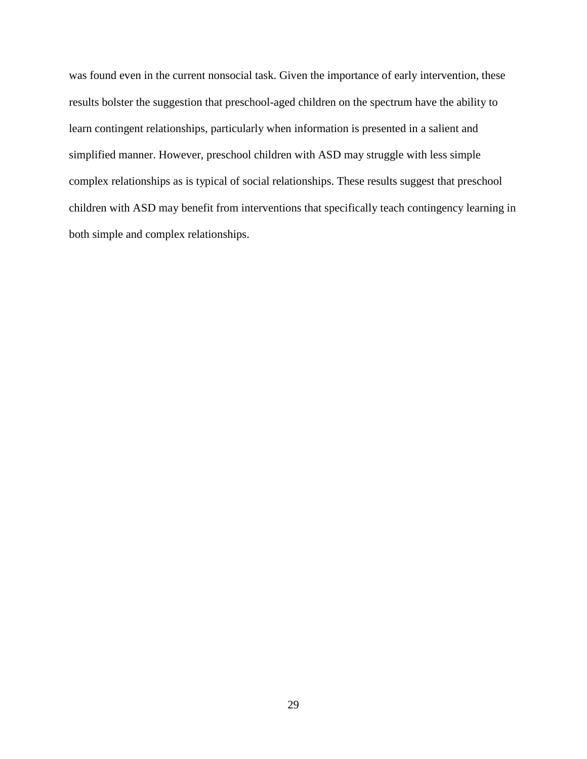was found even in the current nonsocial task. Given the importance of early intervention, these results bolster the suggestion that preschool-aged children on the spectrum have the ability to learn contingent relationships, particularly when information is presented in a salient and simplified manner. However, preschool children with ASD may struggle with less simple complex relationships as is typical of social relationships. These results suggest that preschool children with ASD may benefit from interventions that specifically teach contingency learning in both simple and complex relationships.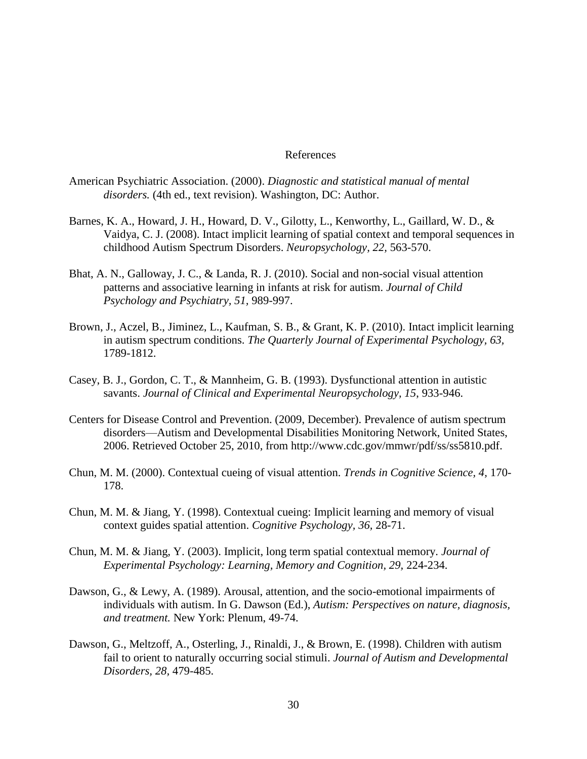# References

- American Psychiatric Association. (2000). *Diagnostic and statistical manual of mental disorders.* (4th ed., text revision). Washington, DC: Author.
- Barnes, K. A., Howard, J. H., Howard, D. V., Gilotty, L., Kenworthy, L., Gaillard, W. D., & Vaidya, C. J. (2008). Intact implicit learning of spatial context and temporal sequences in childhood Autism Spectrum Disorders. *Neuropsychology, 22,* 563-570.
- Bhat, A. N., Galloway, J. C., & Landa, R. J. (2010). Social and non-social visual attention patterns and associative learning in infants at risk for autism. *Journal of Child Psychology and Psychiatry, 51,* 989-997.
- Brown, J., Aczel, B., Jiminez, L., Kaufman, S. B., & Grant, K. P. (2010). Intact implicit learning in autism spectrum conditions. *The Quarterly Journal of Experimental Psychology, 63,*  1789-1812.
- Casey, B. J., Gordon, C. T., & Mannheim, G. B. (1993). Dysfunctional attention in autistic savants. *Journal of Clinical and Experimental Neuropsychology, 15*, 933-946.
- Centers for Disease Control and Prevention. (2009, December). Prevalence of autism spectrum disorders—Autism and Developmental Disabilities Monitoring Network, United States, 2006. Retrieved October 25, 2010, from http://www.cdc.gov/mmwr/pdf/ss/ss5810.pdf.
- Chun, M. M. (2000). Contextual cueing of visual attention. *Trends in Cognitive Science, 4,* 170- 178.
- Chun, M. M. & Jiang, Y. (1998). Contextual cueing: Implicit learning and memory of visual context guides spatial attention. *Cognitive Psychology, 36,* 28-71.
- Chun, M. M. & Jiang, Y. (2003). Implicit, long term spatial contextual memory. *Journal of Experimental Psychology: Learning, Memory and Cognition, 29,* 224-234.
- Dawson, G., & Lewy, A. (1989). Arousal, attention, and the socio-emotional impairments of individuals with autism. In G. Dawson (Ed.), *Autism: Perspectives on nature, diagnosis, and treatment.* New York: Plenum, 49-74.
- Dawson, G., Meltzoff, A., Osterling, J., Rinaldi, J., & Brown, E. (1998). Children with autism fail to orient to naturally occurring social stimuli. *Journal of Autism and Developmental Disorders, 28,* 479-485.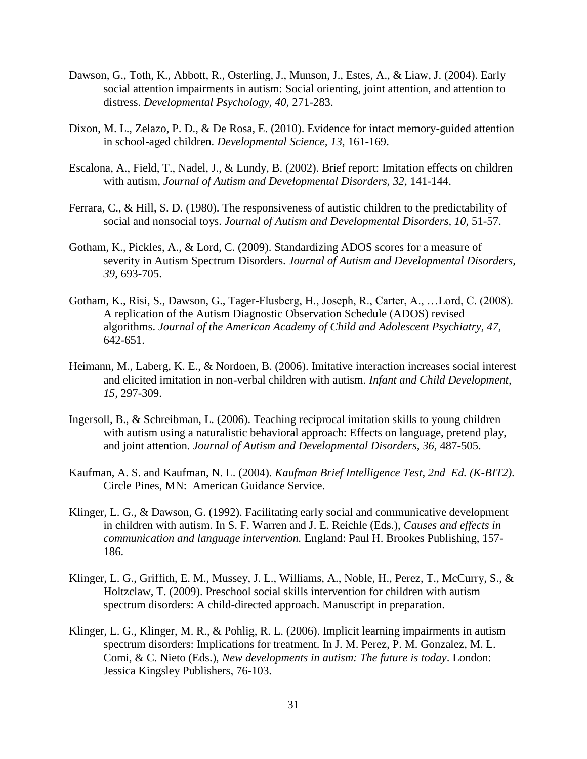- Dawson, G., Toth, K., Abbott, R., Osterling, J., Munson, J., Estes, A., & Liaw, J. (2004). Early social attention impairments in autism: Social orienting, joint attention, and attention to distress. *Developmental Psychology, 40,* 271-283.
- Dixon, M. L., Zelazo, P. D., & De Rosa, E. (2010). Evidence for intact memory-guided attention in school-aged children. *Developmental Science, 13,* 161-169.
- Escalona, A., Field, T., Nadel, J., & Lundy, B. (2002). Brief report: Imitation effects on children with autism, *Journal of Autism and Developmental Disorders, 32,* 141-144.
- Ferrara, C., & Hill, S. D. (1980). The responsiveness of autistic children to the predictability of social and nonsocial toys. *Journal of Autism and Developmental Disorders, 10, 51-57.*
- Gotham, K., Pickles, A., & Lord, C. (2009). Standardizing ADOS scores for a measure of severity in Autism Spectrum Disorders. *Journal of Autism and Developmental Disorders, 39,* 693-705.
- Gotham, K., Risi, S., Dawson, G., Tager-Flusberg, H., Joseph, R., Carter, A., …Lord, C. (2008). A replication of the Autism Diagnostic Observation Schedule (ADOS) revised algorithms. *Journal of the American Academy of Child and Adolescent Psychiatry, 47,*  642-651.
- Heimann, M., Laberg, K. E., & Nordoen, B. (2006). Imitative interaction increases social interest and elicited imitation in non-verbal children with autism. *Infant and Child Development, 15,* 297-309.
- Ingersoll, B., & Schreibman, L. (2006). Teaching reciprocal imitation skills to young children with autism using a naturalistic behavioral approach: Effects on language, pretend play, and joint attention. *Journal of Autism and Developmental Disorders, 36,* 487-505.
- Kaufman, A. S. and Kaufman, N. L. (2004). *Kaufman Brief Intelligence Test, 2nd Ed. (K-BIT2)*. Circle Pines, MN: American Guidance Service.
- Klinger, L. G., & Dawson, G. (1992). Facilitating early social and communicative development in children with autism. In S. F. Warren and J. E. Reichle (Eds.), *Causes and effects in communication and language intervention.* England: Paul H. Brookes Publishing, 157- 186.
- Klinger, L. G., Griffith, E. M., Mussey, J. L., Williams, A., Noble, H., Perez, T., McCurry, S., & Holtzclaw, T. (2009). Preschool social skills intervention for children with autism spectrum disorders: A child-directed approach. Manuscript in preparation.
- Klinger, L. G., Klinger, M. R., & Pohlig, R. L. (2006). Implicit learning impairments in autism spectrum disorders: Implications for treatment. In J. M. Perez, P. M. Gonzalez, M. L. Comi, & C. Nieto (Eds.), *New developments in autism: The future is today*. London: Jessica Kingsley Publishers, 76-103.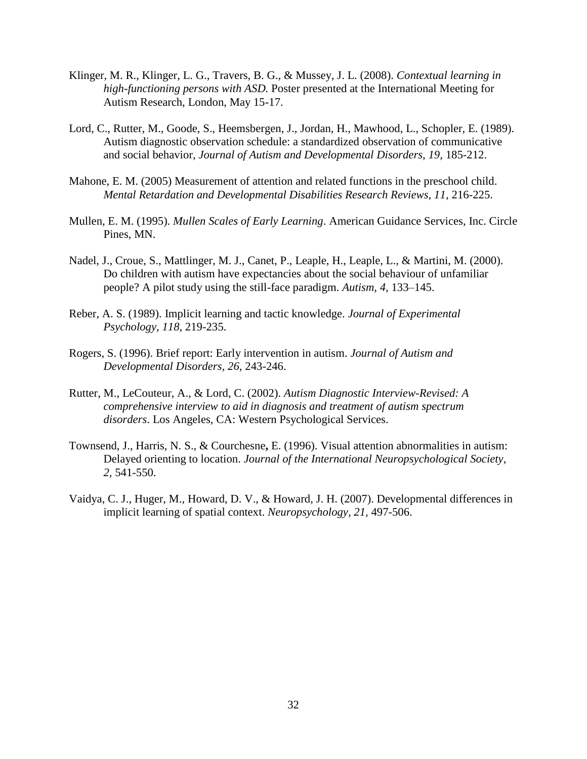- Klinger, M. R., Klinger, L. G., Travers, B. G., & Mussey, J. L. (2008). *Contextual learning in high-functioning persons with ASD.* Poster presented at the International Meeting for Autism Research, London, May 15-17.
- Lord, C., Rutter, M., Goode, S., Heemsbergen, J., Jordan, H., Mawhood, L., Schopler, E. (1989). Autism diagnostic observation schedule: a standardized observation of communicative and social behavior, *Journal of Autism and Developmental Disorders, 19,* 185-212.
- Mahone, E. M. (2005) Measurement of attention and related functions in the preschool child. *Mental Retardation and Developmental Disabilities Research Reviews, 11, 216-225.*
- Mullen, E. M. (1995). *Mullen Scales of Early Learning*. American Guidance Services, Inc. Circle Pines, MN.
- Nadel, J., Croue, S., Mattlinger, M. J., Canet, P., Leaple, H., Leaple, L., & Martini, M. (2000). Do children with autism have expectancies about the social behaviour of unfamiliar people? A pilot study using the still-face paradigm. *Autism, 4,* 133–145.
- Reber, A. S. (1989). Implicit learning and tactic knowledge. *Journal of Experimental Psychology, 118,* 219-235.
- Rogers, S. (1996). Brief report: Early intervention in autism. *Journal of Autism and Developmental Disorders, 26,* 243-246.
- Rutter, M., LeCouteur, A., & Lord, C. (2002). *Autism Diagnostic Interview-Revised: A comprehensive interview to aid in diagnosis and treatment of autism spectrum disorders*. Los Angeles, CA: Western Psychological Services.
- Townsend, J., Harris, N. S., & Courchesne**,** E. (1996). Visual attention abnormalities in autism: Delayed orienting to location. *Journal of the International Neuropsychological Society, 2,* 541-550.
- Vaidya, C. J., Huger, M., Howard, D. V., & Howard, J. H. (2007). Developmental differences in implicit learning of spatial context. *Neuropsychology, 21,* 497-506.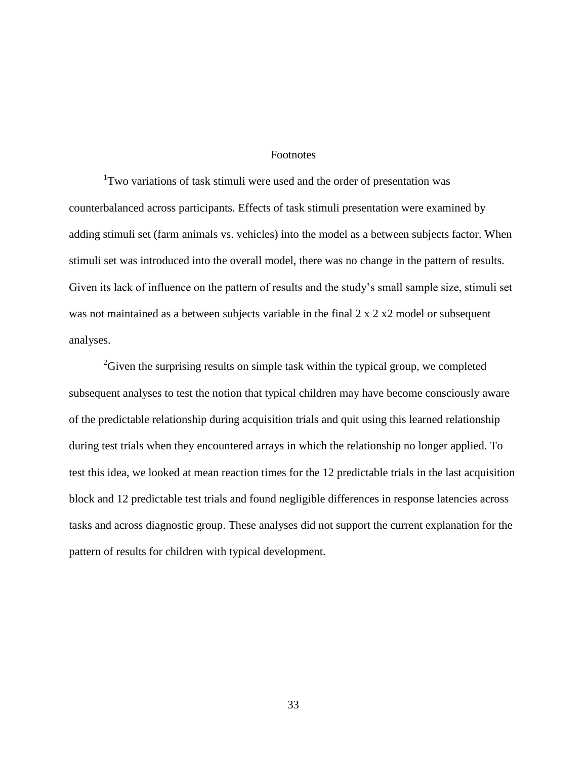# Footnotes

<sup>1</sup>Two variations of task stimuli were used and the order of presentation was counterbalanced across participants. Effects of task stimuli presentation were examined by adding stimuli set (farm animals vs. vehicles) into the model as a between subjects factor. When stimuli set was introduced into the overall model, there was no change in the pattern of results. Given its lack of influence on the pattern of results and the study's small sample size, stimuli set was not maintained as a between subjects variable in the final 2 x 2 x 2 model or subsequent analyses.

 $2<sup>2</sup>$ Given the surprising results on simple task within the typical group, we completed subsequent analyses to test the notion that typical children may have become consciously aware of the predictable relationship during acquisition trials and quit using this learned relationship during test trials when they encountered arrays in which the relationship no longer applied. To test this idea, we looked at mean reaction times for the 12 predictable trials in the last acquisition block and 12 predictable test trials and found negligible differences in response latencies across tasks and across diagnostic group. These analyses did not support the current explanation for the pattern of results for children with typical development.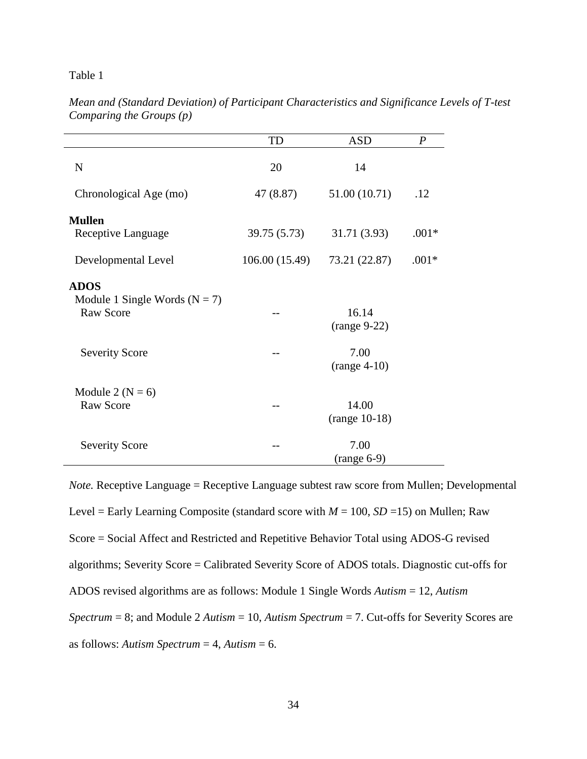Table 1

|                                                                      | TD                     | <b>ASD</b>               | $\boldsymbol{P}$ |
|----------------------------------------------------------------------|------------------------|--------------------------|------------------|
| $\mathbf N$                                                          | 20                     | 14                       |                  |
| Chronological Age (mo)                                               | 47 (8.87)              | 51.00 (10.71)            | .12              |
| <b>Mullen</b><br>Receptive Language                                  | 39.75 (5.73)           | 31.71 (3.93)             | $.001*$          |
| Developmental Level                                                  | 106.00(15.49)          | 73.21 (22.87)            | $.001*$          |
| <b>ADOS</b><br>Module 1 Single Words ( $N = 7$ )<br><b>Raw Score</b> |                        | 16.14<br>$(range 9-22)$  |                  |
| <b>Severity Score</b>                                                | 7.00<br>$(range 4-10)$ |                          |                  |
| Module 2 ( $N = 6$ )<br><b>Raw Score</b>                             |                        | 14.00<br>$(range 10-18)$ |                  |
| <b>Severity Score</b>                                                |                        | 7.00<br>$(range 6-9)$    |                  |

*Mean and (Standard Deviation) of Participant Characteristics and Significance Levels of T-test Comparing the Groups (p)* 

*Note.* Receptive Language = Receptive Language subtest raw score from Mullen; Developmental Level = Early Learning Composite (standard score with  $M = 100$ ,  $SD = 15$ ) on Mullen; Raw Score = Social Affect and Restricted and Repetitive Behavior Total using ADOS-G revised algorithms; Severity Score = Calibrated Severity Score of ADOS totals. Diagnostic cut-offs for ADOS revised algorithms are as follows: Module 1 Single Words *Autism* = 12, *Autism Spectrum* = 8; and Module 2 *Autism* = 10, *Autism Spectrum* = 7. Cut-offs for Severity Scores are as follows: *Autism Spectrum* = 4, *Autism* = 6.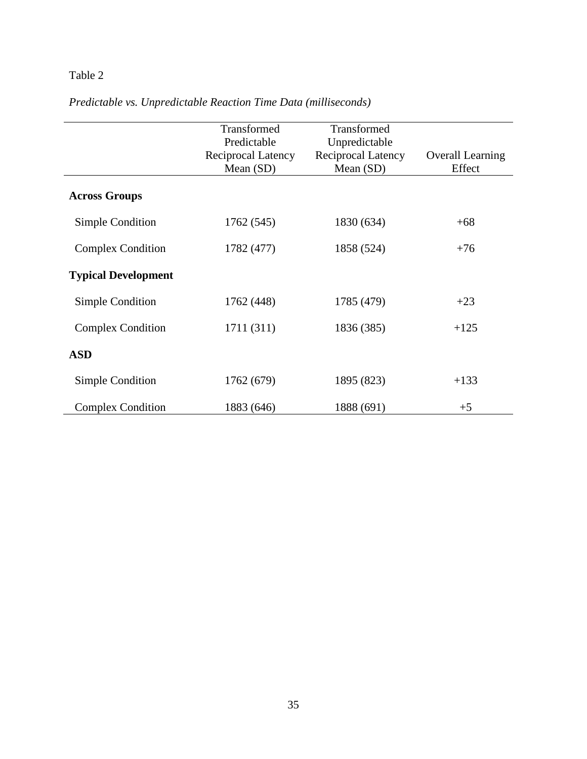# Table 2

|                            | Transformed        | Transformed        |                         |
|----------------------------|--------------------|--------------------|-------------------------|
|                            | Predictable        | Unpredictable      |                         |
|                            | Reciprocal Latency | Reciprocal Latency | <b>Overall Learning</b> |
|                            | Mean $(SD)$        | Mean $(SD)$        | Effect                  |
| <b>Across Groups</b>       |                    |                    |                         |
| Simple Condition           | 1762 (545)         | 1830 (634)         | $+68$                   |
| <b>Complex Condition</b>   | 1782 (477)         | 1858 (524)         | $+76$                   |
| <b>Typical Development</b> |                    |                    |                         |
| Simple Condition           | 1762 (448)         | 1785 (479)         | $+23$                   |
| <b>Complex Condition</b>   | 1711 (311)         | 1836 (385)         | $+125$                  |
| <b>ASD</b>                 |                    |                    |                         |
| Simple Condition           | 1762 (679)         | 1895 (823)         | $+133$                  |
| <b>Complex Condition</b>   | 1883 (646)         | 1888 (691)         | $+5$                    |

*Predictable vs. Unpredictable Reaction Time Data (milliseconds)*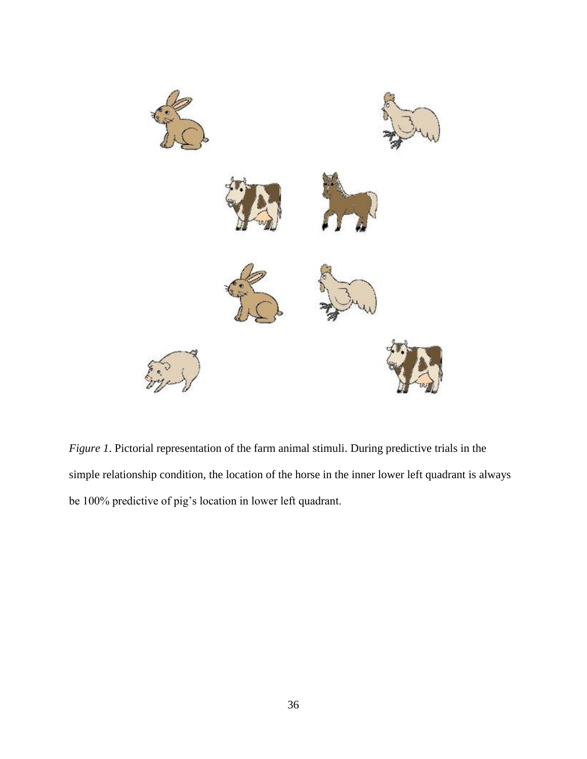

*Figure 1*. Pictorial representation of the farm animal stimuli. During predictive trials in the simple relationship condition, the location of the horse in the inner lower left quadrant is always be 100% predictive of pig's location in lower left quadrant.